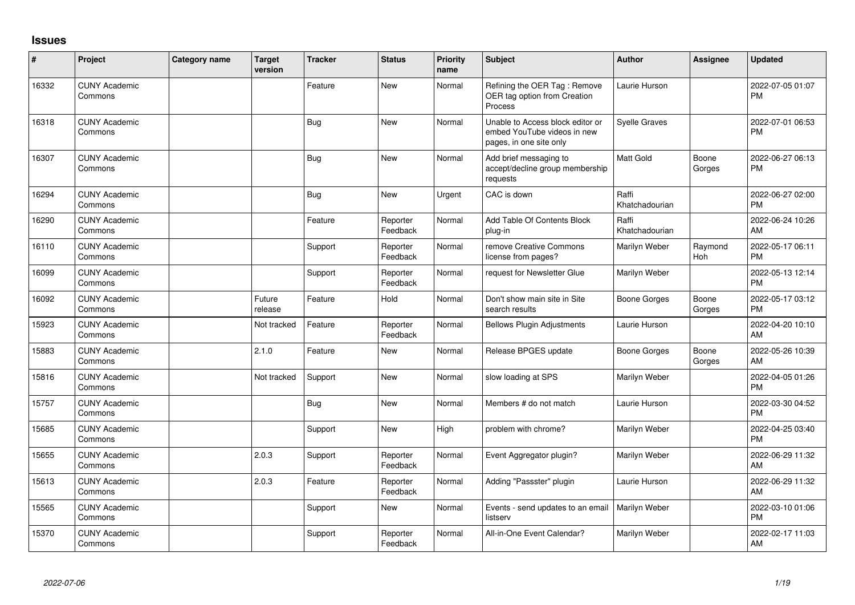## **Issues**

| #     | Project                         | Category name | <b>Target</b><br>version | <b>Tracker</b> | <b>Status</b>        | <b>Priority</b><br>name | Subject                                                                                    | <b>Author</b>           | <b>Assignee</b> | <b>Updated</b>                |
|-------|---------------------------------|---------------|--------------------------|----------------|----------------------|-------------------------|--------------------------------------------------------------------------------------------|-------------------------|-----------------|-------------------------------|
| 16332 | <b>CUNY Academic</b><br>Commons |               |                          | Feature        | New                  | Normal                  | Refining the OER Tag: Remove<br>OER tag option from Creation<br>Process                    | Laurie Hurson           |                 | 2022-07-05 01:07<br><b>PM</b> |
| 16318 | <b>CUNY Academic</b><br>Commons |               |                          | <b>Bug</b>     | New                  | Normal                  | Unable to Access block editor or<br>embed YouTube videos in new<br>pages, in one site only | <b>Syelle Graves</b>    |                 | 2022-07-01 06:53<br><b>PM</b> |
| 16307 | <b>CUNY Academic</b><br>Commons |               |                          | Bug            | New                  | Normal                  | Add brief messaging to<br>accept/decline group membership<br>requests                      | Matt Gold               | Boone<br>Gorges | 2022-06-27 06:13<br><b>PM</b> |
| 16294 | <b>CUNY Academic</b><br>Commons |               |                          | <b>Bug</b>     | <b>New</b>           | Urgent                  | CAC is down                                                                                | Raffi<br>Khatchadourian |                 | 2022-06-27 02:00<br><b>PM</b> |
| 16290 | <b>CUNY Academic</b><br>Commons |               |                          | Feature        | Reporter<br>Feedback | Normal                  | Add Table Of Contents Block<br>plug-in                                                     | Raffi<br>Khatchadourian |                 | 2022-06-24 10:26<br>AM        |
| 16110 | <b>CUNY Academic</b><br>Commons |               |                          | Support        | Reporter<br>Feedback | Normal                  | remove Creative Commons<br>license from pages?                                             | Marilyn Weber           | Raymond<br>Hoh  | 2022-05-17 06:11<br><b>PM</b> |
| 16099 | <b>CUNY Academic</b><br>Commons |               |                          | Support        | Reporter<br>Feedback | Normal                  | request for Newsletter Glue                                                                | Marilyn Weber           |                 | 2022-05-13 12:14<br><b>PM</b> |
| 16092 | <b>CUNY Academic</b><br>Commons |               | Future<br>release        | Feature        | Hold                 | Normal                  | Don't show main site in Site<br>search results                                             | Boone Gorges            | Boone<br>Gorges | 2022-05-17 03:12<br><b>PM</b> |
| 15923 | <b>CUNY Academic</b><br>Commons |               | Not tracked              | Feature        | Reporter<br>Feedback | Normal                  | <b>Bellows Plugin Adjustments</b>                                                          | Laurie Hurson           |                 | 2022-04-20 10:10<br>AM        |
| 15883 | <b>CUNY Academic</b><br>Commons |               | 2.1.0                    | Feature        | <b>New</b>           | Normal                  | Release BPGES update                                                                       | Boone Gorges            | Boone<br>Gorges | 2022-05-26 10:39<br>AM        |
| 15816 | <b>CUNY Academic</b><br>Commons |               | Not tracked              | Support        | <b>New</b>           | Normal                  | slow loading at SPS                                                                        | Marilyn Weber           |                 | 2022-04-05 01:26<br><b>PM</b> |
| 15757 | <b>CUNY Academic</b><br>Commons |               |                          | Bug            | <b>New</b>           | Normal                  | Members # do not match                                                                     | Laurie Hurson           |                 | 2022-03-30 04:52<br><b>PM</b> |
| 15685 | <b>CUNY Academic</b><br>Commons |               |                          | Support        | <b>New</b>           | High                    | problem with chrome?                                                                       | Marilyn Weber           |                 | 2022-04-25 03:40<br><b>PM</b> |
| 15655 | <b>CUNY Academic</b><br>Commons |               | 2.0.3                    | Support        | Reporter<br>Feedback | Normal                  | Event Aggregator plugin?                                                                   | Marilyn Weber           |                 | 2022-06-29 11:32<br>AM        |
| 15613 | <b>CUNY Academic</b><br>Commons |               | 2.0.3                    | Feature        | Reporter<br>Feedback | Normal                  | Adding "Passster" plugin                                                                   | Laurie Hurson           |                 | 2022-06-29 11:32<br>AM        |
| 15565 | <b>CUNY Academic</b><br>Commons |               |                          | Support        | <b>New</b>           | Normal                  | Events - send updates to an email<br>listserv                                              | Marilyn Weber           |                 | 2022-03-10 01:06<br>PM        |
| 15370 | <b>CUNY Academic</b><br>Commons |               |                          | Support        | Reporter<br>Feedback | Normal                  | All-in-One Event Calendar?                                                                 | Marilyn Weber           |                 | 2022-02-17 11:03<br>AM        |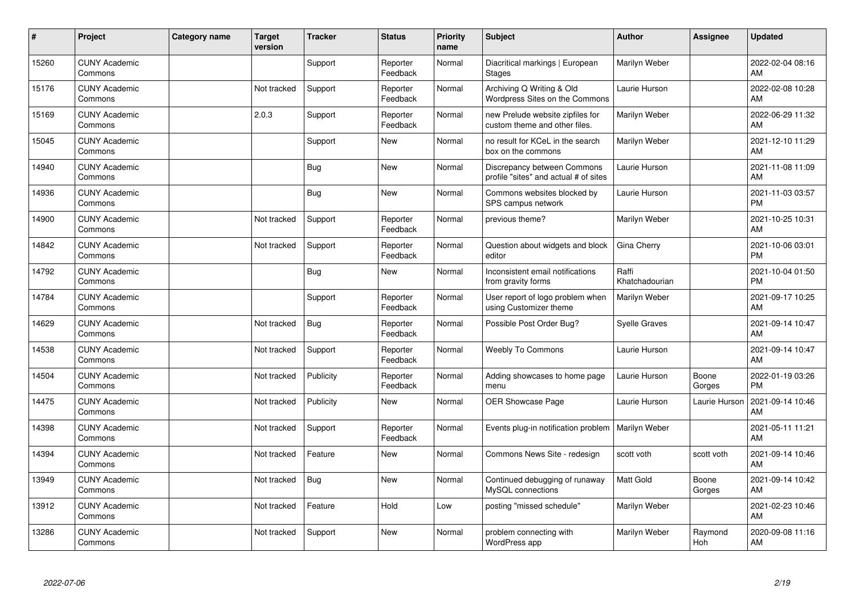| #     | Project                         | <b>Category name</b> | <b>Target</b><br>version | <b>Tracker</b> | <b>Status</b>        | Priority<br>name | <b>Subject</b>                                                       | <b>Author</b>           | <b>Assignee</b> | <b>Updated</b>                |
|-------|---------------------------------|----------------------|--------------------------|----------------|----------------------|------------------|----------------------------------------------------------------------|-------------------------|-----------------|-------------------------------|
| 15260 | <b>CUNY Academic</b><br>Commons |                      |                          | Support        | Reporter<br>Feedback | Normal           | Diacritical markings   European<br><b>Stages</b>                     | Marilyn Weber           |                 | 2022-02-04 08:16<br>AM        |
| 15176 | <b>CUNY Academic</b><br>Commons |                      | Not tracked              | Support        | Reporter<br>Feedback | Normal           | Archiving Q Writing & Old<br><b>Wordpress Sites on the Commons</b>   | Laurie Hurson           |                 | 2022-02-08 10:28<br>AM        |
| 15169 | <b>CUNY Academic</b><br>Commons |                      | 2.0.3                    | Support        | Reporter<br>Feedback | Normal           | new Prelude website zipfiles for<br>custom theme and other files.    | Marilyn Weber           |                 | 2022-06-29 11:32<br>AM        |
| 15045 | <b>CUNY Academic</b><br>Commons |                      |                          | Support        | <b>New</b>           | Normal           | no result for KCeL in the search<br>box on the commons               | Marilyn Weber           |                 | 2021-12-10 11:29<br>AM        |
| 14940 | <b>CUNY Academic</b><br>Commons |                      |                          | <b>Bug</b>     | <b>New</b>           | Normal           | Discrepancy between Commons<br>profile "sites" and actual # of sites | Laurie Hurson           |                 | 2021-11-08 11:09<br>AM        |
| 14936 | <b>CUNY Academic</b><br>Commons |                      |                          | <b>Bug</b>     | <b>New</b>           | Normal           | Commons websites blocked by<br>SPS campus network                    | Laurie Hurson           |                 | 2021-11-03 03:57<br><b>PM</b> |
| 14900 | <b>CUNY Academic</b><br>Commons |                      | Not tracked              | Support        | Reporter<br>Feedback | Normal           | previous theme?                                                      | Marilyn Weber           |                 | 2021-10-25 10:31<br>AM        |
| 14842 | <b>CUNY Academic</b><br>Commons |                      | Not tracked              | Support        | Reporter<br>Feedback | Normal           | Question about widgets and block<br>editor                           | Gina Cherry             |                 | 2021-10-06 03:01<br><b>PM</b> |
| 14792 | <b>CUNY Academic</b><br>Commons |                      |                          | <b>Bug</b>     | New                  | Normal           | Inconsistent email notifications<br>from gravity forms               | Raffi<br>Khatchadourian |                 | 2021-10-04 01:50<br><b>PM</b> |
| 14784 | <b>CUNY Academic</b><br>Commons |                      |                          | Support        | Reporter<br>Feedback | Normal           | User report of logo problem when<br>using Customizer theme           | Marilyn Weber           |                 | 2021-09-17 10:25<br>AM        |
| 14629 | <b>CUNY Academic</b><br>Commons |                      | Not tracked              | <b>Bug</b>     | Reporter<br>Feedback | Normal           | Possible Post Order Bug?                                             | <b>Syelle Graves</b>    |                 | 2021-09-14 10:47<br>AM        |
| 14538 | <b>CUNY Academic</b><br>Commons |                      | Not tracked              | Support        | Reporter<br>Feedback | Normal           | <b>Weebly To Commons</b>                                             | Laurie Hurson           |                 | 2021-09-14 10:47<br>AM        |
| 14504 | <b>CUNY Academic</b><br>Commons |                      | Not tracked              | Publicity      | Reporter<br>Feedback | Normal           | Adding showcases to home page<br>menu                                | Laurie Hurson           | Boone<br>Gorges | 2022-01-19 03:26<br><b>PM</b> |
| 14475 | <b>CUNY Academic</b><br>Commons |                      | Not tracked              | Publicity      | <b>New</b>           | Normal           | OER Showcase Page                                                    | Laurie Hurson           | Laurie Hurson   | 2021-09-14 10:46<br>AM        |
| 14398 | <b>CUNY Academic</b><br>Commons |                      | Not tracked              | Support        | Reporter<br>Feedback | Normal           | Events plug-in notification problem                                  | Marilyn Weber           |                 | 2021-05-11 11:21<br>AM        |
| 14394 | <b>CUNY Academic</b><br>Commons |                      | Not tracked              | Feature        | New                  | Normal           | Commons News Site - redesign                                         | scott voth              | scott voth      | 2021-09-14 10:46<br>AM        |
| 13949 | <b>CUNY Academic</b><br>Commons |                      | Not tracked              | Bug            | New                  | Normal           | Continued debugging of runaway<br>MySQL connections                  | <b>Matt Gold</b>        | Boone<br>Gorges | 2021-09-14 10:42<br>AM        |
| 13912 | <b>CUNY Academic</b><br>Commons |                      | Not tracked              | Feature        | Hold                 | Low              | posting "missed schedule"                                            | Marilyn Weber           |                 | 2021-02-23 10:46<br>AM        |
| 13286 | <b>CUNY Academic</b><br>Commons |                      | Not tracked              | Support        | <b>New</b>           | Normal           | problem connecting with<br>WordPress app                             | Marilyn Weber           | Raymond<br>Hoh  | 2020-09-08 11:16<br>AM        |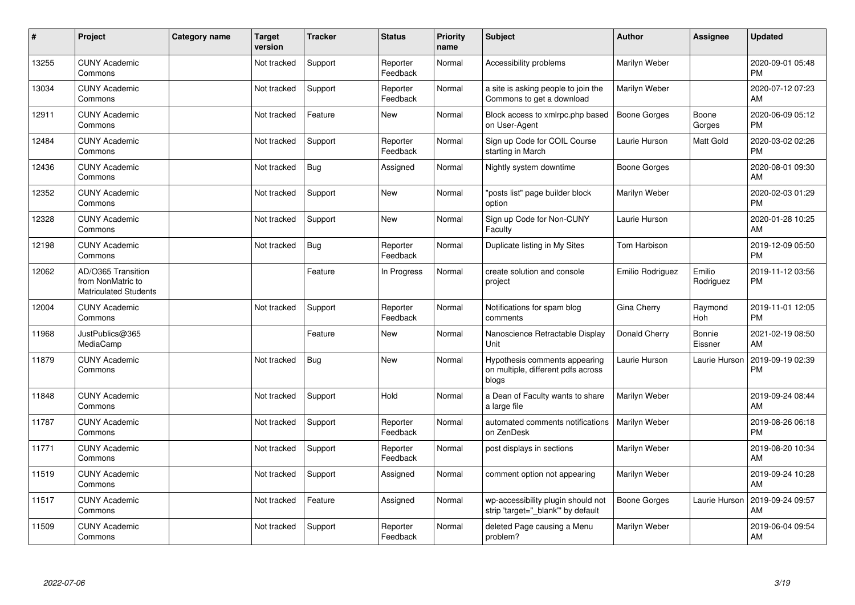| ∦     | Project                                                                 | Category name | <b>Target</b><br>version | <b>Tracker</b> | <b>Status</b>        | Priority<br>name | <b>Subject</b>                                                               | <b>Author</b>       | <b>Assignee</b>     | <b>Updated</b>                |
|-------|-------------------------------------------------------------------------|---------------|--------------------------|----------------|----------------------|------------------|------------------------------------------------------------------------------|---------------------|---------------------|-------------------------------|
| 13255 | <b>CUNY Academic</b><br>Commons                                         |               | Not tracked              | Support        | Reporter<br>Feedback | Normal           | Accessibility problems                                                       | Marilyn Weber       |                     | 2020-09-01 05:48<br><b>PM</b> |
| 13034 | <b>CUNY Academic</b><br>Commons                                         |               | Not tracked              | Support        | Reporter<br>Feedback | Normal           | a site is asking people to join the<br>Commons to get a download             | Marilyn Weber       |                     | 2020-07-12 07:23<br>AM        |
| 12911 | <b>CUNY Academic</b><br>Commons                                         |               | Not tracked              | Feature        | New                  | Normal           | Block access to xmlrpc.php based<br>on User-Agent                            | <b>Boone Gorges</b> | Boone<br>Gorges     | 2020-06-09 05:12<br>PM        |
| 12484 | <b>CUNY Academic</b><br>Commons                                         |               | Not tracked              | Support        | Reporter<br>Feedback | Normal           | Sign up Code for COIL Course<br>starting in March                            | Laurie Hurson       | Matt Gold           | 2020-03-02 02:26<br><b>PM</b> |
| 12436 | <b>CUNY Academic</b><br>Commons                                         |               | Not tracked              | <b>Bug</b>     | Assigned             | Normal           | Nightly system downtime                                                      | Boone Gorges        |                     | 2020-08-01 09:30<br>AM        |
| 12352 | <b>CUNY Academic</b><br>Commons                                         |               | Not tracked              | Support        | <b>New</b>           | Normal           | "posts list" page builder block<br>option                                    | Marilyn Weber       |                     | 2020-02-03 01:29<br><b>PM</b> |
| 12328 | <b>CUNY Academic</b><br>Commons                                         |               | Not tracked              | Support        | <b>New</b>           | Normal           | Sign up Code for Non-CUNY<br>Faculty                                         | Laurie Hurson       |                     | 2020-01-28 10:25<br>AM        |
| 12198 | <b>CUNY Academic</b><br>Commons                                         |               | Not tracked              | Bug            | Reporter<br>Feedback | Normal           | Duplicate listing in My Sites                                                | Tom Harbison        |                     | 2019-12-09 05:50<br><b>PM</b> |
| 12062 | AD/O365 Transition<br>from NonMatric to<br><b>Matriculated Students</b> |               |                          | Feature        | In Progress          | Normal           | create solution and console<br>project                                       | Emilio Rodriguez    | Emilio<br>Rodriguez | 2019-11-12 03:56<br><b>PM</b> |
| 12004 | <b>CUNY Academic</b><br>Commons                                         |               | Not tracked              | Support        | Reporter<br>Feedback | Normal           | Notifications for spam blog<br>comments                                      | Gina Cherry         | Raymond<br>Hoh      | 2019-11-01 12:05<br><b>PM</b> |
| 11968 | JustPublics@365<br>MediaCamp                                            |               |                          | Feature        | <b>New</b>           | Normal           | Nanoscience Retractable Display<br>Unit                                      | Donald Cherry       | Bonnie<br>Eissner   | 2021-02-19 08:50<br>AM        |
| 11879 | <b>CUNY Academic</b><br>Commons                                         |               | Not tracked              | <b>Bug</b>     | <b>New</b>           | Normal           | Hypothesis comments appearing<br>on multiple, different pdfs across<br>blogs | Laurie Hurson       | Laurie Hurson       | 2019-09-19 02:39<br><b>PM</b> |
| 11848 | <b>CUNY Academic</b><br>Commons                                         |               | Not tracked              | Support        | Hold                 | Normal           | a Dean of Faculty wants to share<br>a large file                             | Marilyn Weber       |                     | 2019-09-24 08:44<br>AM        |
| 11787 | <b>CUNY Academic</b><br>Commons                                         |               | Not tracked              | Support        | Reporter<br>Feedback | Normal           | automated comments notifications<br>on ZenDesk                               | Marilyn Weber       |                     | 2019-08-26 06:18<br><b>PM</b> |
| 11771 | <b>CUNY Academic</b><br>Commons                                         |               | Not tracked              | Support        | Reporter<br>Feedback | Normal           | post displays in sections                                                    | Marilyn Weber       |                     | 2019-08-20 10:34<br><b>AM</b> |
| 11519 | <b>CUNY Academic</b><br>Commons                                         |               | Not tracked              | Support        | Assigned             | Normal           | comment option not appearing                                                 | Marilyn Weber       |                     | 2019-09-24 10:28<br>AM        |
| 11517 | <b>CUNY Academic</b><br>Commons                                         |               | Not tracked              | Feature        | Assigned             | Normal           | wp-accessibility plugin should not<br>strip 'target="_blank"' by default     | Boone Gorges        | Laurie Hurson       | 2019-09-24 09:57<br>AM        |
| 11509 | <b>CUNY Academic</b><br>Commons                                         |               | Not tracked              | Support        | Reporter<br>Feedback | Normal           | deleted Page causing a Menu<br>problem?                                      | Marilyn Weber       |                     | 2019-06-04 09:54<br>AM        |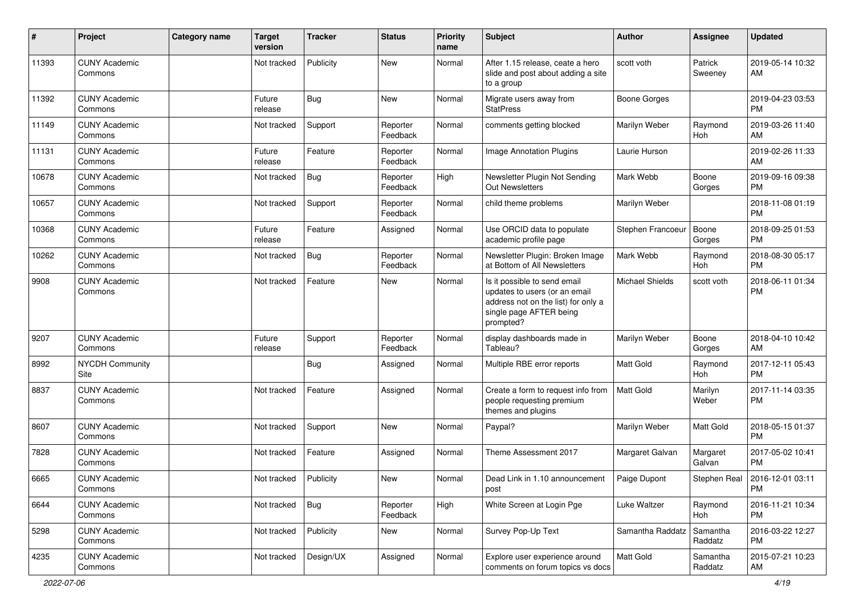| #     | Project                         | <b>Category name</b> | <b>Target</b><br>version | <b>Tracker</b> | <b>Status</b>        | <b>Priority</b><br>name | Subject                                                                                                                                      | <b>Author</b>          | <b>Assignee</b>     | <b>Updated</b>                |
|-------|---------------------------------|----------------------|--------------------------|----------------|----------------------|-------------------------|----------------------------------------------------------------------------------------------------------------------------------------------|------------------------|---------------------|-------------------------------|
| 11393 | <b>CUNY Academic</b><br>Commons |                      | Not tracked              | Publicity      | <b>New</b>           | Normal                  | After 1.15 release, ceate a hero<br>slide and post about adding a site<br>to a group                                                         | scott voth             | Patrick<br>Sweeney  | 2019-05-14 10:32<br>AM        |
| 11392 | <b>CUNY Academic</b><br>Commons |                      | Future<br>release        | <b>Bug</b>     | <b>New</b>           | Normal                  | Migrate users away from<br><b>StatPress</b>                                                                                                  | <b>Boone Gorges</b>    |                     | 2019-04-23 03:53<br>PM.       |
| 11149 | <b>CUNY Academic</b><br>Commons |                      | Not tracked              | Support        | Reporter<br>Feedback | Normal                  | comments getting blocked                                                                                                                     | Marilyn Weber          | Raymond<br>Hoh      | 2019-03-26 11:40<br>AM        |
| 11131 | <b>CUNY Academic</b><br>Commons |                      | Future<br>release        | Feature        | Reporter<br>Feedback | Normal                  | Image Annotation Plugins                                                                                                                     | Laurie Hurson          |                     | 2019-02-26 11:33<br>AM        |
| 10678 | <b>CUNY Academic</b><br>Commons |                      | Not tracked              | Bug            | Reporter<br>Feedback | High                    | Newsletter Plugin Not Sending<br><b>Out Newsletters</b>                                                                                      | Mark Webb              | Boone<br>Gorges     | 2019-09-16 09:38<br><b>PM</b> |
| 10657 | <b>CUNY Academic</b><br>Commons |                      | Not tracked              | Support        | Reporter<br>Feedback | Normal                  | child theme problems                                                                                                                         | Marilyn Weber          |                     | 2018-11-08 01:19<br><b>PM</b> |
| 10368 | <b>CUNY Academic</b><br>Commons |                      | Future<br>release        | Feature        | Assigned             | Normal                  | Use ORCID data to populate<br>academic profile page                                                                                          | Stephen Francoeur      | Boone<br>Gorges     | 2018-09-25 01:53<br><b>PM</b> |
| 10262 | <b>CUNY Academic</b><br>Commons |                      | Not tracked              | <b>Bug</b>     | Reporter<br>Feedback | Normal                  | Newsletter Plugin: Broken Image<br>at Bottom of All Newsletters                                                                              | Mark Webb              | Raymond<br>Hoh      | 2018-08-30 05:17<br><b>PM</b> |
| 9908  | <b>CUNY Academic</b><br>Commons |                      | Not tracked              | Feature        | New                  | Normal                  | Is it possible to send email<br>updates to users (or an email<br>address not on the list) for only a<br>single page AFTER being<br>prompted? | <b>Michael Shields</b> | scott voth          | 2018-06-11 01:34<br><b>PM</b> |
| 9207  | <b>CUNY Academic</b><br>Commons |                      | Future<br>release        | Support        | Reporter<br>Feedback | Normal                  | display dashboards made in<br>Tableau?                                                                                                       | Marilyn Weber          | Boone<br>Gorges     | 2018-04-10 10:42<br>AM        |
| 8992  | <b>NYCDH Community</b><br>Site  |                      |                          | Bug            | Assigned             | Normal                  | Multiple RBE error reports                                                                                                                   | Matt Gold              | Raymond<br>Hoh      | 2017-12-11 05:43<br><b>PM</b> |
| 8837  | <b>CUNY Academic</b><br>Commons |                      | Not tracked              | Feature        | Assigned             | Normal                  | Create a form to request info from<br>people requesting premium<br>themes and plugins                                                        | Matt Gold              | Marilyn<br>Weber    | 2017-11-14 03:35<br><b>PM</b> |
| 8607  | <b>CUNY Academic</b><br>Commons |                      | Not tracked              | Support        | New                  | Normal                  | Paypal?                                                                                                                                      | Marilyn Weber          | Matt Gold           | 2018-05-15 01:37<br><b>PM</b> |
| 7828  | <b>CUNY Academic</b><br>Commons |                      | Not tracked              | Feature        | Assigned             | Normal                  | Theme Assessment 2017                                                                                                                        | Margaret Galvan        | Margaret<br>Galvan  | 2017-05-02 10:41<br><b>PM</b> |
| 6665  | <b>CUNY Academic</b><br>Commons |                      | Not tracked              | Publicity      | New                  | Normal                  | Dead Link in 1.10 announcement<br>post                                                                                                       | Paige Dupont           | Stephen Real        | 2016-12-01 03:11<br><b>PM</b> |
| 6644  | <b>CUNY Academic</b><br>Commons |                      | Not tracked              | Bug            | Reporter<br>Feedback | High                    | White Screen at Login Pge                                                                                                                    | Luke Waltzer           | Raymond<br>Hoh      | 2016-11-21 10:34<br><b>PM</b> |
| 5298  | <b>CUNY Academic</b><br>Commons |                      | Not tracked              | Publicity      | New                  | Normal                  | Survey Pop-Up Text                                                                                                                           | Samantha Raddatz       | Samantha<br>Raddatz | 2016-03-22 12:27<br><b>PM</b> |
| 4235  | <b>CUNY Academic</b><br>Commons |                      | Not tracked              | Design/UX      | Assigned             | Normal                  | Explore user experience around<br>comments on forum topics vs docs                                                                           | Matt Gold              | Samantha<br>Raddatz | 2015-07-21 10:23<br>AM        |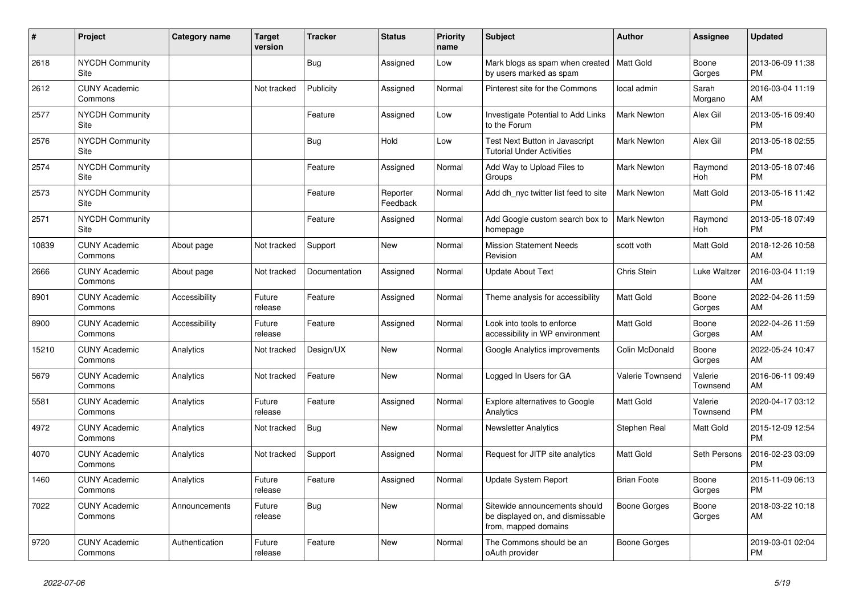| #     | <b>Project</b>                  | <b>Category name</b> | <b>Target</b><br>version | <b>Tracker</b> | <b>Status</b>        | Priority<br>name | <b>Subject</b>                                                                            | <b>Author</b>      | Assignee            | <b>Updated</b>                |
|-------|---------------------------------|----------------------|--------------------------|----------------|----------------------|------------------|-------------------------------------------------------------------------------------------|--------------------|---------------------|-------------------------------|
| 2618  | <b>NYCDH Community</b><br>Site  |                      |                          | <b>Bug</b>     | Assigned             | Low              | Mark blogs as spam when created   Matt Gold<br>by users marked as spam                    |                    | Boone<br>Gorges     | 2013-06-09 11:38<br><b>PM</b> |
| 2612  | <b>CUNY Academic</b><br>Commons |                      | Not tracked              | Publicity      | Assigned             | Normal           | Pinterest site for the Commons                                                            | local admin        | Sarah<br>Morgano    | 2016-03-04 11:19<br>AM        |
| 2577  | <b>NYCDH Community</b><br>Site  |                      |                          | Feature        | Assigned             | Low              | Investigate Potential to Add Links<br>to the Forum                                        | <b>Mark Newton</b> | Alex Gil            | 2013-05-16 09:40<br><b>PM</b> |
| 2576  | <b>NYCDH Community</b><br>Site  |                      |                          | Bug            | Hold                 | Low              | Test Next Button in Javascript<br><b>Tutorial Under Activities</b>                        | <b>Mark Newton</b> | Alex Gil            | 2013-05-18 02:55<br><b>PM</b> |
| 2574  | <b>NYCDH Community</b><br>Site  |                      |                          | Feature        | Assigned             | Normal           | Add Way to Upload Files to<br>Groups                                                      | <b>Mark Newton</b> | Raymond<br>Hoh      | 2013-05-18 07:46<br><b>PM</b> |
| 2573  | <b>NYCDH Community</b><br>Site  |                      |                          | Feature        | Reporter<br>Feedback | Normal           | Add dh nyc twitter list feed to site                                                      | <b>Mark Newton</b> | Matt Gold           | 2013-05-16 11:42<br><b>PM</b> |
| 2571  | <b>NYCDH Community</b><br>Site  |                      |                          | Feature        | Assigned             | Normal           | Add Google custom search box to<br>homepage                                               | Mark Newton        | Raymond<br>Hoh      | 2013-05-18 07:49<br><b>PM</b> |
| 10839 | <b>CUNY Academic</b><br>Commons | About page           | Not tracked              | Support        | <b>New</b>           | Normal           | <b>Mission Statement Needs</b><br>Revision                                                | scott voth         | Matt Gold           | 2018-12-26 10:58<br>AM        |
| 2666  | <b>CUNY Academic</b><br>Commons | About page           | Not tracked              | Documentation  | Assigned             | Normal           | <b>Update About Text</b>                                                                  | Chris Stein        | Luke Waltzer        | 2016-03-04 11:19<br>AM        |
| 8901  | <b>CUNY Academic</b><br>Commons | Accessibility        | Future<br>release        | Feature        | Assigned             | Normal           | Theme analysis for accessibility                                                          | <b>Matt Gold</b>   | Boone<br>Gorges     | 2022-04-26 11:59<br>AM        |
| 8900  | <b>CUNY Academic</b><br>Commons | Accessibility        | Future<br>release        | Feature        | Assigned             | Normal           | Look into tools to enforce<br>accessibility in WP environment                             | <b>Matt Gold</b>   | Boone<br>Gorges     | 2022-04-26 11:59<br>AM        |
| 15210 | <b>CUNY Academic</b><br>Commons | Analytics            | Not tracked              | Design/UX      | New                  | Normal           | Google Analytics improvements                                                             | Colin McDonald     | Boone<br>Gorges     | 2022-05-24 10:47<br>AM        |
| 5679  | <b>CUNY Academic</b><br>Commons | Analytics            | Not tracked              | Feature        | <b>New</b>           | Normal           | Logged In Users for GA                                                                    | Valerie Townsend   | Valerie<br>Townsend | 2016-06-11 09:49<br>AM        |
| 5581  | <b>CUNY Academic</b><br>Commons | Analytics            | Future<br>release        | Feature        | Assigned             | Normal           | Explore alternatives to Google<br>Analytics                                               | <b>Matt Gold</b>   | Valerie<br>Townsend | 2020-04-17 03:12<br><b>PM</b> |
| 4972  | <b>CUNY Academic</b><br>Commons | Analytics            | Not tracked              | <b>Bug</b>     | <b>New</b>           | Normal           | <b>Newsletter Analytics</b>                                                               | Stephen Real       | Matt Gold           | 2015-12-09 12:54<br><b>PM</b> |
| 4070  | <b>CUNY Academic</b><br>Commons | Analytics            | Not tracked              | Support        | Assigned             | Normal           | Request for JITP site analytics                                                           | <b>Matt Gold</b>   | Seth Persons        | 2016-02-23 03:09<br><b>PM</b> |
| 1460  | <b>CUNY Academic</b><br>Commons | Analytics            | Future<br>release        | Feature        | Assigned             | Normal           | Update System Report                                                                      | <b>Brian Foote</b> | Boone<br>Gorges     | 2015-11-09 06:13<br><b>PM</b> |
| 7022  | <b>CUNY Academic</b><br>Commons | Announcements        | Future<br>release        | Bug            | <b>New</b>           | Normal           | Sitewide announcements should<br>be displayed on, and dismissable<br>from, mapped domains | Boone Gorges       | Boone<br>Gorges     | 2018-03-22 10:18<br>AM        |
| 9720  | <b>CUNY Academic</b><br>Commons | Authentication       | Future<br>release        | Feature        | <b>New</b>           | Normal           | The Commons should be an<br>oAuth provider                                                | Boone Gorges       |                     | 2019-03-01 02:04<br><b>PM</b> |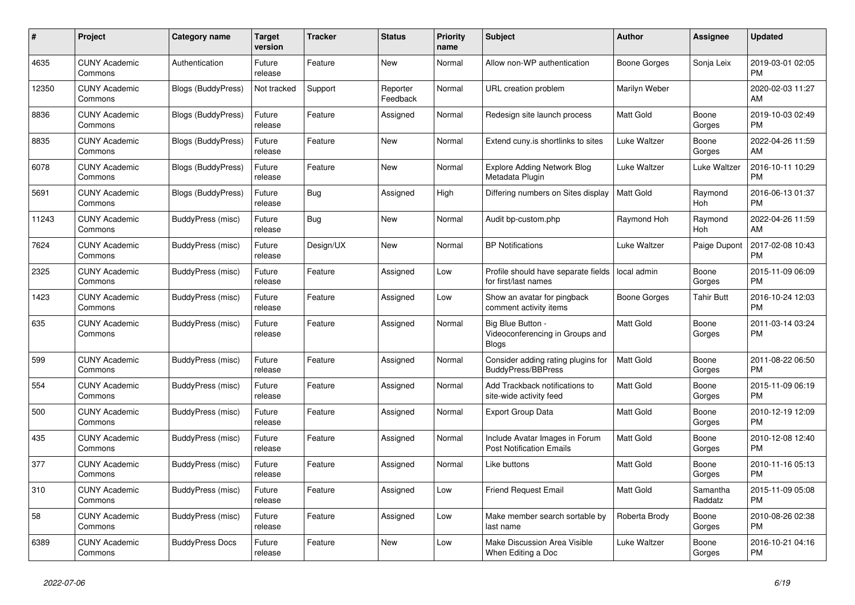| $\#$  | Project                         | <b>Category name</b>      | <b>Target</b><br>version | <b>Tracker</b> | <b>Status</b>        | <b>Priority</b><br>name | <b>Subject</b>                                                       | <b>Author</b>    | <b>Assignee</b>       | <b>Updated</b>                |
|-------|---------------------------------|---------------------------|--------------------------|----------------|----------------------|-------------------------|----------------------------------------------------------------------|------------------|-----------------------|-------------------------------|
| 4635  | <b>CUNY Academic</b><br>Commons | Authentication            | Future<br>release        | Feature        | New                  | Normal                  | Allow non-WP authentication                                          | Boone Gorges     | Sonja Leix            | 2019-03-01 02:05<br><b>PM</b> |
| 12350 | <b>CUNY Academic</b><br>Commons | <b>Blogs (BuddyPress)</b> | Not tracked              | Support        | Reporter<br>Feedback | Normal                  | URL creation problem                                                 | Marilyn Weber    |                       | 2020-02-03 11:27<br>AM        |
| 8836  | <b>CUNY Academic</b><br>Commons | Blogs (BuddyPress)        | Future<br>release        | Feature        | Assigned             | Normal                  | Redesign site launch process                                         | Matt Gold        | Boone<br>Gorges       | 2019-10-03 02:49<br><b>PM</b> |
| 8835  | <b>CUNY Academic</b><br>Commons | <b>Blogs (BuddyPress)</b> | Future<br>release        | Feature        | New                  | Normal                  | Extend cuny.is shortlinks to sites                                   | Luke Waltzer     | Boone<br>Gorges       | 2022-04-26 11:59<br>AM        |
| 6078  | <b>CUNY Academic</b><br>Commons | <b>Blogs (BuddyPress)</b> | Future<br>release        | Feature        | New                  | Normal                  | <b>Explore Adding Network Blog</b><br>Metadata Plugin                | Luke Waltzer     | Luke Waltzer          | 2016-10-11 10:29<br><b>PM</b> |
| 5691  | <b>CUNY Academic</b><br>Commons | Blogs (BuddyPress)        | Future<br>release        | Bug            | Assigned             | High                    | Differing numbers on Sites display                                   | <b>Matt Gold</b> | Raymond<br>Hoh        | 2016-06-13 01:37<br><b>PM</b> |
| 11243 | <b>CUNY Academic</b><br>Commons | BuddyPress (misc)         | Future<br>release        | <b>Bug</b>     | <b>New</b>           | Normal                  | Audit bp-custom.php                                                  | Raymond Hoh      | Raymond<br><b>Hoh</b> | 2022-04-26 11:59<br>AM        |
| 7624  | <b>CUNY Academic</b><br>Commons | BuddyPress (misc)         | Future<br>release        | Design/UX      | New                  | Normal                  | <b>BP Notifications</b>                                              | Luke Waltzer     | Paige Dupont          | 2017-02-08 10:43<br><b>PM</b> |
| 2325  | <b>CUNY Academic</b><br>Commons | BuddyPress (misc)         | Future<br>release        | Feature        | Assigned             | Low                     | Profile should have separate fields<br>for first/last names          | local admin      | Boone<br>Gorges       | 2015-11-09 06:09<br><b>PM</b> |
| 1423  | <b>CUNY Academic</b><br>Commons | BuddyPress (misc)         | Future<br>release        | Feature        | Assigned             | Low                     | Show an avatar for pingback<br>comment activity items                | Boone Gorges     | <b>Tahir Butt</b>     | 2016-10-24 12:03<br><b>PM</b> |
| 635   | <b>CUNY Academic</b><br>Commons | BuddyPress (misc)         | Future<br>release        | Feature        | Assigned             | Normal                  | Big Blue Button -<br>Videoconferencing in Groups and<br><b>Blogs</b> | <b>Matt Gold</b> | Boone<br>Gorges       | 2011-03-14 03:24<br>PM        |
| 599   | <b>CUNY Academic</b><br>Commons | BuddyPress (misc)         | Future<br>release        | Feature        | Assigned             | Normal                  | Consider adding rating plugins for<br><b>BuddyPress/BBPress</b>      | <b>Matt Gold</b> | Boone<br>Gorges       | 2011-08-22 06:50<br><b>PM</b> |
| 554   | <b>CUNY Academic</b><br>Commons | BuddyPress (misc)         | Future<br>release        | Feature        | Assigned             | Normal                  | Add Trackback notifications to<br>site-wide activity feed            | Matt Gold        | Boone<br>Gorges       | 2015-11-09 06:19<br><b>PM</b> |
| 500   | <b>CUNY Academic</b><br>Commons | BuddyPress (misc)         | Future<br>release        | Feature        | Assigned             | Normal                  | <b>Export Group Data</b>                                             | <b>Matt Gold</b> | Boone<br>Gorges       | 2010-12-19 12:09<br><b>PM</b> |
| 435   | <b>CUNY Academic</b><br>Commons | BuddyPress (misc)         | Future<br>release        | Feature        | Assigned             | Normal                  | Include Avatar Images in Forum<br><b>Post Notification Emails</b>    | <b>Matt Gold</b> | Boone<br>Gorges       | 2010-12-08 12:40<br><b>PM</b> |
| 377   | <b>CUNY Academic</b><br>Commons | <b>BuddyPress (misc)</b>  | Future<br>release        | Feature        | Assigned             | Normal                  | Like buttons                                                         | <b>Matt Gold</b> | Boone<br>Gorges       | 2010-11-16 05:13<br><b>PM</b> |
| 310   | <b>CUNY Academic</b><br>Commons | BuddyPress (misc)         | Future<br>release        | Feature        | Assigned             | Low                     | <b>Friend Request Email</b>                                          | Matt Gold        | Samantha<br>Raddatz   | 2015-11-09 05:08<br><b>PM</b> |
| 58    | <b>CUNY Academic</b><br>Commons | BuddyPress (misc)         | Future<br>release        | Feature        | Assigned             | Low                     | Make member search sortable by<br>last name                          | Roberta Brody    | Boone<br>Gorges       | 2010-08-26 02:38<br><b>PM</b> |
| 6389  | <b>CUNY Academic</b><br>Commons | <b>BuddyPress Docs</b>    | Future<br>release        | Feature        | <b>New</b>           | Low                     | Make Discussion Area Visible<br>When Editing a Doc                   | Luke Waltzer     | Boone<br>Gorges       | 2016-10-21 04:16<br><b>PM</b> |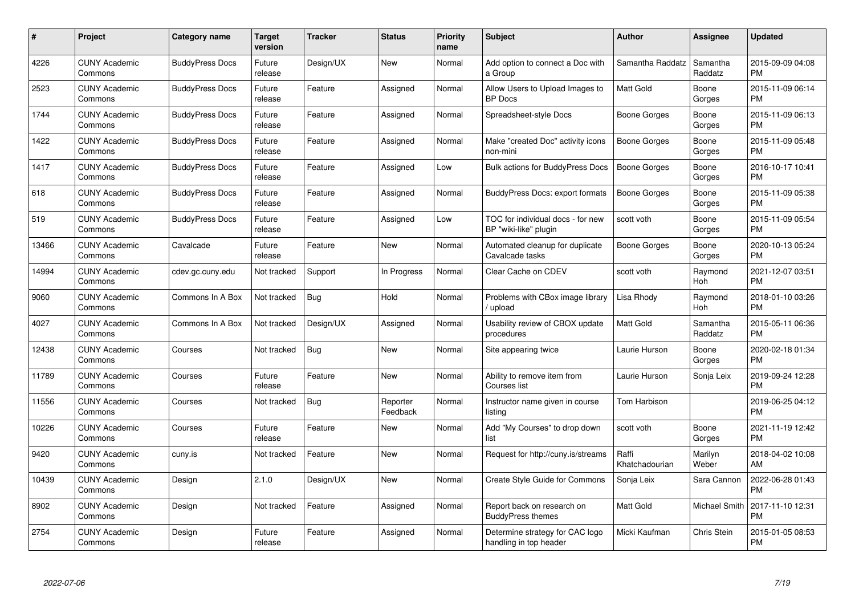| $\#$  | Project                         | <b>Category name</b>   | <b>Target</b><br>version | <b>Tracker</b> | <b>Status</b>        | <b>Priority</b><br>name | <b>Subject</b>                                             | <b>Author</b>           | <b>Assignee</b>     | <b>Updated</b>                |
|-------|---------------------------------|------------------------|--------------------------|----------------|----------------------|-------------------------|------------------------------------------------------------|-------------------------|---------------------|-------------------------------|
| 4226  | <b>CUNY Academic</b><br>Commons | <b>BuddyPress Docs</b> | Future<br>release        | Design/UX      | <b>New</b>           | Normal                  | Add option to connect a Doc with<br>a Group                | Samantha Raddatz        | Samantha<br>Raddatz | 2015-09-09 04:08<br><b>PM</b> |
| 2523  | <b>CUNY Academic</b><br>Commons | <b>BuddyPress Docs</b> | Future<br>release        | Feature        | Assigned             | Normal                  | Allow Users to Upload Images to<br><b>BP</b> Docs          | <b>Matt Gold</b>        | Boone<br>Gorges     | 2015-11-09 06:14<br><b>PM</b> |
| 1744  | <b>CUNY Academic</b><br>Commons | <b>BuddyPress Docs</b> | Future<br>release        | Feature        | Assigned             | Normal                  | Spreadsheet-style Docs                                     | Boone Gorges            | Boone<br>Gorges     | 2015-11-09 06:13<br><b>PM</b> |
| 1422  | <b>CUNY Academic</b><br>Commons | <b>BuddyPress Docs</b> | Future<br>release        | Feature        | Assigned             | Normal                  | Make "created Doc" activity icons<br>non-mini              | Boone Gorges            | Boone<br>Gorges     | 2015-11-09 05:48<br><b>PM</b> |
| 1417  | <b>CUNY Academic</b><br>Commons | <b>BuddyPress Docs</b> | Future<br>release        | Feature        | Assigned             | Low                     | <b>Bulk actions for BuddyPress Docs</b>                    | <b>Boone Gorges</b>     | Boone<br>Gorges     | 2016-10-17 10:41<br><b>PM</b> |
| 618   | <b>CUNY Academic</b><br>Commons | <b>BuddyPress Docs</b> | Future<br>release        | Feature        | Assigned             | Normal                  | <b>BuddyPress Docs: export formats</b>                     | <b>Boone Gorges</b>     | Boone<br>Gorges     | 2015-11-09 05:38<br><b>PM</b> |
| 519   | <b>CUNY Academic</b><br>Commons | <b>BuddyPress Docs</b> | Future<br>release        | Feature        | Assigned             | Low                     | TOC for individual docs - for new<br>BP "wiki-like" plugin | scott voth              | Boone<br>Gorges     | 2015-11-09 05:54<br><b>PM</b> |
| 13466 | <b>CUNY Academic</b><br>Commons | Cavalcade              | Future<br>release        | Feature        | New                  | Normal                  | Automated cleanup for duplicate<br>Cavalcade tasks         | Boone Gorges            | Boone<br>Gorges     | 2020-10-13 05:24<br><b>PM</b> |
| 14994 | <b>CUNY Academic</b><br>Commons | cdev.gc.cuny.edu       | Not tracked              | Support        | In Progress          | Normal                  | Clear Cache on CDEV                                        | scott voth              | Raymond<br>Hoh      | 2021-12-07 03:51<br><b>PM</b> |
| 9060  | <b>CUNY Academic</b><br>Commons | Commons In A Box       | Not tracked              | <b>Bug</b>     | Hold                 | Normal                  | Problems with CBox image library<br>upload                 | Lisa Rhody              | Raymond<br>Hoh      | 2018-01-10 03:26<br><b>PM</b> |
| 4027  | <b>CUNY Academic</b><br>Commons | Commons In A Box       | Not tracked              | Design/UX      | Assigned             | Normal                  | Usability review of CBOX update<br>procedures              | Matt Gold               | Samantha<br>Raddatz | 2015-05-11 06:36<br><b>PM</b> |
| 12438 | <b>CUNY Academic</b><br>Commons | Courses                | Not tracked              | <b>Bug</b>     | New                  | Normal                  | Site appearing twice                                       | Laurie Hurson           | Boone<br>Gorges     | 2020-02-18 01:34<br><b>PM</b> |
| 11789 | <b>CUNY Academic</b><br>Commons | Courses                | Future<br>release        | Feature        | New                  | Normal                  | Ability to remove item from<br>Courses list                | Laurie Hurson           | Sonja Leix          | 2019-09-24 12:28<br><b>PM</b> |
| 11556 | <b>CUNY Academic</b><br>Commons | Courses                | Not tracked              | Bug            | Reporter<br>Feedback | Normal                  | Instructor name given in course<br>listing                 | Tom Harbison            |                     | 2019-06-25 04:12<br><b>PM</b> |
| 10226 | <b>CUNY Academic</b><br>Commons | Courses                | Future<br>release        | Feature        | New                  | Normal                  | Add "My Courses" to drop down<br>list                      | scott voth              | Boone<br>Gorges     | 2021-11-19 12:42<br><b>PM</b> |
| 9420  | <b>CUNY Academic</b><br>Commons | cuny.is                | Not tracked              | Feature        | New                  | Normal                  | Request for http://cuny.is/streams                         | Raffi<br>Khatchadourian | Marilyn<br>Weber    | 2018-04-02 10:08<br>AM        |
| 10439 | <b>CUNY Academic</b><br>Commons | Design                 | 2.1.0                    | Design/UX      | New                  | Normal                  | Create Style Guide for Commons                             | Sonja Leix              | Sara Cannon         | 2022-06-28 01:43<br><b>PM</b> |
| 8902  | <b>CUNY Academic</b><br>Commons | Design                 | Not tracked              | Feature        | Assigned             | Normal                  | Report back on research on<br><b>BuddyPress themes</b>     | Matt Gold               | Michael Smith       | 2017-11-10 12:31<br><b>PM</b> |
| 2754  | <b>CUNY Academic</b><br>Commons | Design                 | Future<br>release        | Feature        | Assigned             | Normal                  | Determine strategy for CAC logo<br>handling in top header  | Micki Kaufman           | Chris Stein         | 2015-01-05 08:53<br><b>PM</b> |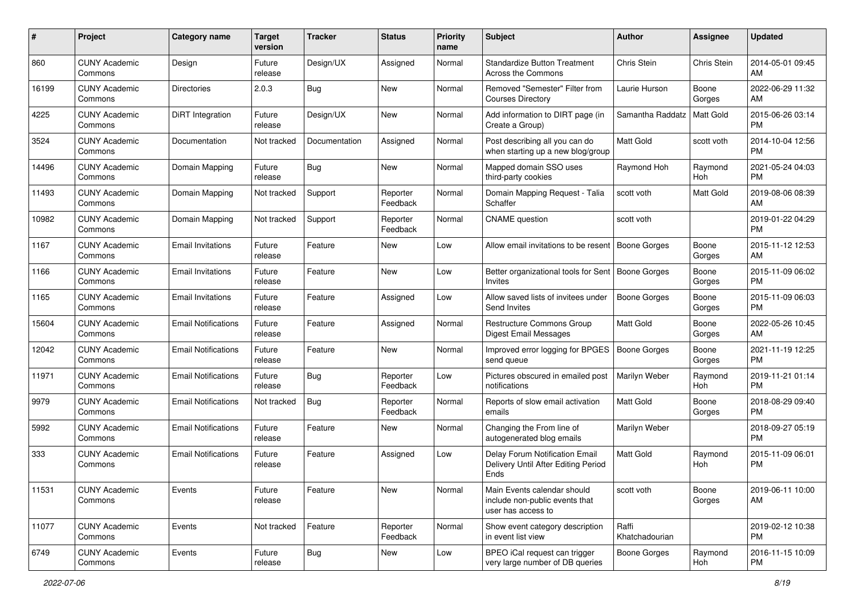| #     | Project                         | <b>Category name</b>       | Target<br>version | <b>Tracker</b> | <b>Status</b>        | <b>Priority</b><br>name | <b>Subject</b>                                                                      | Author                  | <b>Assignee</b> | <b>Updated</b>                |
|-------|---------------------------------|----------------------------|-------------------|----------------|----------------------|-------------------------|-------------------------------------------------------------------------------------|-------------------------|-----------------|-------------------------------|
| 860   | <b>CUNY Academic</b><br>Commons | Design                     | Future<br>release | Design/UX      | Assigned             | Normal                  | <b>Standardize Button Treatment</b><br>Across the Commons                           | Chris Stein             | Chris Stein     | 2014-05-01 09:45<br>AM        |
| 16199 | <b>CUNY Academic</b><br>Commons | <b>Directories</b>         | 2.0.3             | Bug            | New                  | Normal                  | Removed "Semester" Filter from<br><b>Courses Directory</b>                          | Laurie Hurson           | Boone<br>Gorges | 2022-06-29 11:32<br>AM        |
| 4225  | <b>CUNY Academic</b><br>Commons | <b>DiRT</b> Integration    | Future<br>release | Design/UX      | New                  | Normal                  | Add information to DIRT page (in<br>Create a Group)                                 | Samantha Raddatz        | Matt Gold       | 2015-06-26 03:14<br><b>PM</b> |
| 3524  | <b>CUNY Academic</b><br>Commons | Documentation              | Not tracked       | Documentation  | Assigned             | Normal                  | Post describing all you can do<br>when starting up a new blog/group                 | <b>Matt Gold</b>        | scott voth      | 2014-10-04 12:56<br><b>PM</b> |
| 14496 | <b>CUNY Academic</b><br>Commons | Domain Mapping             | Future<br>release | Bug            | New                  | Normal                  | Mapped domain SSO uses<br>third-party cookies                                       | Raymond Hoh             | Raymond<br>Hoh  | 2021-05-24 04:03<br><b>PM</b> |
| 11493 | <b>CUNY Academic</b><br>Commons | Domain Mapping             | Not tracked       | Support        | Reporter<br>Feedback | Normal                  | Domain Mapping Request - Talia<br>Schaffer                                          | scott voth              | Matt Gold       | 2019-08-06 08:39<br>AM        |
| 10982 | <b>CUNY Academic</b><br>Commons | Domain Mapping             | Not tracked       | Support        | Reporter<br>Feedback | Normal                  | <b>CNAME</b> question                                                               | scott voth              |                 | 2019-01-22 04:29<br><b>PM</b> |
| 1167  | <b>CUNY Academic</b><br>Commons | <b>Email Invitations</b>   | Future<br>release | Feature        | New                  | Low                     | Allow email invitations to be resent                                                | Boone Gorges            | Boone<br>Gorges | 2015-11-12 12:53<br>AM        |
| 1166  | <b>CUNY Academic</b><br>Commons | <b>Email Invitations</b>   | Future<br>release | Feature        | New                  | Low                     | Better organizational tools for Sent   Boone Gorges<br>Invites                      |                         | Boone<br>Gorges | 2015-11-09 06:02<br><b>PM</b> |
| 1165  | <b>CUNY Academic</b><br>Commons | <b>Email Invitations</b>   | Future<br>release | Feature        | Assigned             | Low                     | Allow saved lists of invitees under<br>Send Invites                                 | <b>Boone Gorges</b>     | Boone<br>Gorges | 2015-11-09 06:03<br><b>PM</b> |
| 15604 | <b>CUNY Academic</b><br>Commons | <b>Email Notifications</b> | Future<br>release | Feature        | Assigned             | Normal                  | <b>Restructure Commons Group</b><br><b>Digest Email Messages</b>                    | Matt Gold               | Boone<br>Gorges | 2022-05-26 10:45<br>AM        |
| 12042 | <b>CUNY Academic</b><br>Commons | <b>Email Notifications</b> | Future<br>release | Feature        | New                  | Normal                  | Improved error logging for BPGES<br>send queue                                      | <b>Boone Gorges</b>     | Boone<br>Gorges | 2021-11-19 12:25<br><b>PM</b> |
| 11971 | <b>CUNY Academic</b><br>Commons | <b>Email Notifications</b> | Future<br>release | <b>Bug</b>     | Reporter<br>Feedback | Low                     | Pictures obscured in emailed post<br>notifications                                  | Marilyn Weber           | Raymond<br>Hoh  | 2019-11-21 01:14<br><b>PM</b> |
| 9979  | <b>CUNY Academic</b><br>Commons | <b>Email Notifications</b> | Not tracked       | Bug            | Reporter<br>Feedback | Normal                  | Reports of slow email activation<br>emails                                          | Matt Gold               | Boone<br>Gorges | 2018-08-29 09:40<br><b>PM</b> |
| 5992  | <b>CUNY Academic</b><br>Commons | <b>Email Notifications</b> | Future<br>release | Feature        | New                  | Normal                  | Changing the From line of<br>autogenerated blog emails                              | Marilyn Weber           |                 | 2018-09-27 05:19<br><b>PM</b> |
| 333   | <b>CUNY Academic</b><br>Commons | <b>Email Notifications</b> | Future<br>release | Feature        | Assigned             | Low                     | Delay Forum Notification Email<br>Delivery Until After Editing Period<br>Ends       | <b>Matt Gold</b>        | Raymond<br>Hoh  | 2015-11-09 06:01<br><b>PM</b> |
| 11531 | <b>CUNY Academic</b><br>Commons | Events                     | Future<br>release | Feature        | New                  | Normal                  | Main Events calendar should<br>include non-public events that<br>user has access to | scott voth              | Boone<br>Gorges | 2019-06-11 10:00<br>AM        |
| 11077 | <b>CUNY Academic</b><br>Commons | Events                     | Not tracked       | Feature        | Reporter<br>Feedback | Normal                  | Show event category description<br>in event list view                               | Raffi<br>Khatchadourian |                 | 2019-02-12 10:38<br><b>PM</b> |
| 6749  | <b>CUNY Academic</b><br>Commons | Events                     | Future<br>release | <b>Bug</b>     | New                  | Low                     | BPEO iCal request can trigger<br>very large number of DB queries                    | Boone Gorges            | Raymond<br>Hoh  | 2016-11-15 10:09<br><b>PM</b> |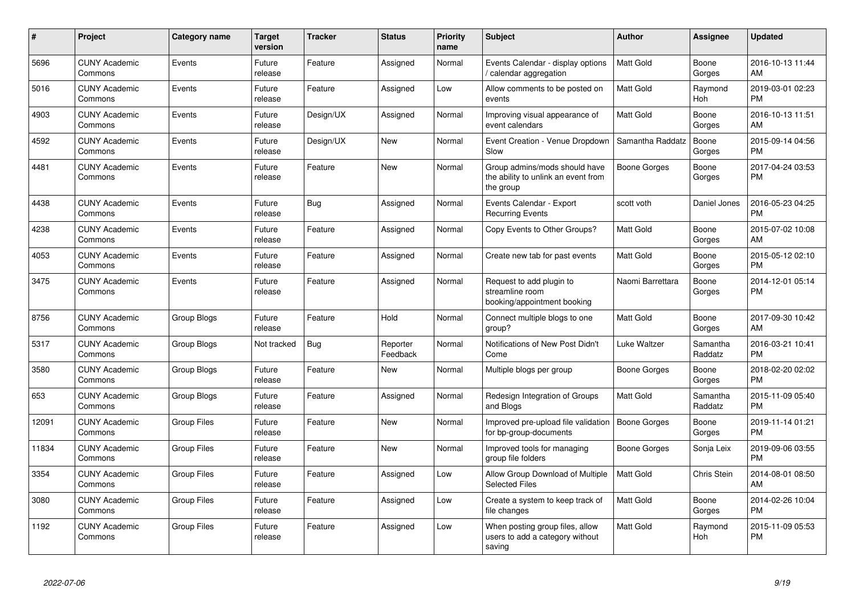| #     | <b>Project</b>                  | Category name      | <b>Target</b><br>version | <b>Tracker</b> | <b>Status</b>        | <b>Priority</b><br>name | <b>Subject</b>                                                                    | Author              | Assignee            | <b>Updated</b>                |
|-------|---------------------------------|--------------------|--------------------------|----------------|----------------------|-------------------------|-----------------------------------------------------------------------------------|---------------------|---------------------|-------------------------------|
| 5696  | <b>CUNY Academic</b><br>Commons | Events             | Future<br>release        | Feature        | Assigned             | Normal                  | Events Calendar - display options<br>/ calendar aggregation                       | Matt Gold           | Boone<br>Gorges     | 2016-10-13 11:44<br>AM        |
| 5016  | <b>CUNY Academic</b><br>Commons | Events             | Future<br>release        | Feature        | Assigned             | Low                     | Allow comments to be posted on<br>events                                          | <b>Matt Gold</b>    | Raymond<br>Hoh      | 2019-03-01 02:23<br><b>PM</b> |
| 4903  | <b>CUNY Academic</b><br>Commons | Events             | Future<br>release        | Design/UX      | Assigned             | Normal                  | Improving visual appearance of<br>event calendars                                 | <b>Matt Gold</b>    | Boone<br>Gorges     | 2016-10-13 11:51<br>AM        |
| 4592  | <b>CUNY Academic</b><br>Commons | Events             | Future<br>release        | Design/UX      | <b>New</b>           | Normal                  | Event Creation - Venue Dropdown<br>Slow                                           | Samantha Raddatz    | Boone<br>Gorges     | 2015-09-14 04:56<br><b>PM</b> |
| 4481  | <b>CUNY Academic</b><br>Commons | Events             | Future<br>release        | Feature        | New                  | Normal                  | Group admins/mods should have<br>the ability to unlink an event from<br>the group | Boone Gorges        | Boone<br>Gorges     | 2017-04-24 03:53<br><b>PM</b> |
| 4438  | <b>CUNY Academic</b><br>Commons | Events             | Future<br>release        | Bug            | Assigned             | Normal                  | Events Calendar - Export<br><b>Recurring Events</b>                               | scott voth          | Daniel Jones        | 2016-05-23 04:25<br><b>PM</b> |
| 4238  | <b>CUNY Academic</b><br>Commons | Events             | Future<br>release        | Feature        | Assigned             | Normal                  | Copy Events to Other Groups?                                                      | <b>Matt Gold</b>    | Boone<br>Gorges     | 2015-07-02 10:08<br>AM        |
| 4053  | <b>CUNY Academic</b><br>Commons | Events             | Future<br>release        | Feature        | Assigned             | Normal                  | Create new tab for past events                                                    | <b>Matt Gold</b>    | Boone<br>Gorges     | 2015-05-12 02:10<br><b>PM</b> |
| 3475  | <b>CUNY Academic</b><br>Commons | Events             | Future<br>release        | Feature        | Assigned             | Normal                  | Request to add plugin to<br>streamline room<br>booking/appointment booking        | Naomi Barrettara    | Boone<br>Gorges     | 2014-12-01 05:14<br><b>PM</b> |
| 8756  | <b>CUNY Academic</b><br>Commons | Group Blogs        | Future<br>release        | Feature        | Hold                 | Normal                  | Connect multiple blogs to one<br>group?                                           | <b>Matt Gold</b>    | Boone<br>Gorges     | 2017-09-30 10:42<br>AM        |
| 5317  | <b>CUNY Academic</b><br>Commons | Group Blogs        | Not tracked              | Bug            | Reporter<br>Feedback | Normal                  | Notifications of New Post Didn't<br>Come                                          | Luke Waltzer        | Samantha<br>Raddatz | 2016-03-21 10:41<br><b>PM</b> |
| 3580  | <b>CUNY Academic</b><br>Commons | Group Blogs        | Future<br>release        | Feature        | <b>New</b>           | Normal                  | Multiple blogs per group                                                          | Boone Gorges        | Boone<br>Gorges     | 2018-02-20 02:02<br><b>PM</b> |
| 653   | <b>CUNY Academic</b><br>Commons | Group Blogs        | Future<br>release        | Feature        | Assigned             | Normal                  | Redesign Integration of Groups<br>and Blogs                                       | Matt Gold           | Samantha<br>Raddatz | 2015-11-09 05:40<br><b>PM</b> |
| 12091 | <b>CUNY Academic</b><br>Commons | <b>Group Files</b> | Future<br>release        | Feature        | <b>New</b>           | Normal                  | Improved pre-upload file validation<br>for bp-group-documents                     | <b>Boone Gorges</b> | Boone<br>Gorges     | 2019-11-14 01:21<br><b>PM</b> |
| 11834 | <b>CUNY Academic</b><br>Commons | <b>Group Files</b> | Future<br>release        | Feature        | <b>New</b>           | Normal                  | Improved tools for managing<br>group file folders                                 | Boone Gorges        | Sonja Leix          | 2019-09-06 03:55<br><b>PM</b> |
| 3354  | <b>CUNY Academic</b><br>Commons | <b>Group Files</b> | Future<br>release        | Feature        | Assigned             | Low                     | Allow Group Download of Multiple<br><b>Selected Files</b>                         | <b>Matt Gold</b>    | Chris Stein         | 2014-08-01 08:50<br>AM        |
| 3080  | <b>CUNY Academic</b><br>Commons | <b>Group Files</b> | Future<br>release        | Feature        | Assigned             | Low                     | Create a system to keep track of<br>file changes                                  | <b>Matt Gold</b>    | Boone<br>Gorges     | 2014-02-26 10:04<br><b>PM</b> |
| 1192  | <b>CUNY Academic</b><br>Commons | <b>Group Files</b> | Future<br>release        | Feature        | Assigned             | Low                     | When posting group files, allow<br>users to add a category without<br>saving      | Matt Gold           | Raymond<br>Hoh      | 2015-11-09 05:53<br><b>PM</b> |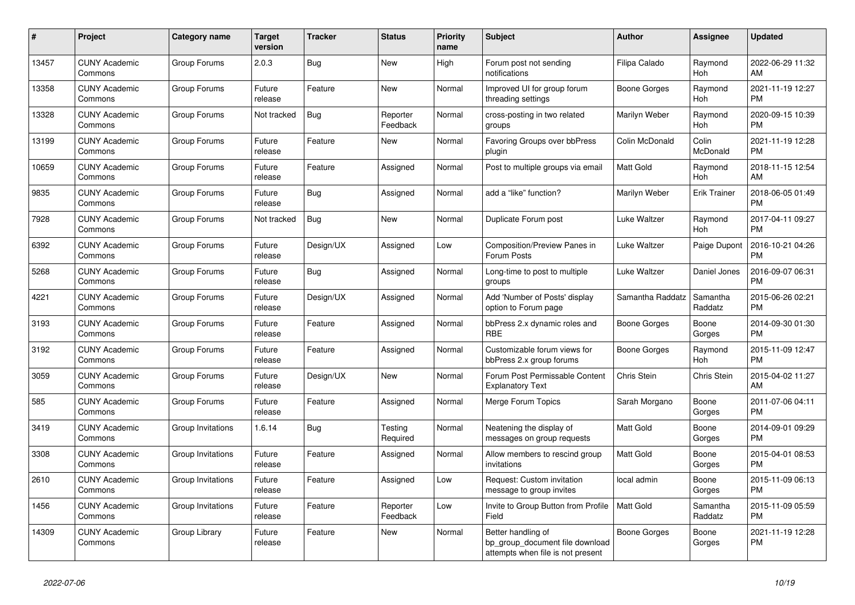| #     | Project                         | <b>Category name</b> | <b>Target</b><br>version | Tracker    | <b>Status</b>        | <b>Priority</b><br>name | <b>Subject</b>                                                                             | <b>Author</b>    | Assignee              | <b>Updated</b>                |
|-------|---------------------------------|----------------------|--------------------------|------------|----------------------|-------------------------|--------------------------------------------------------------------------------------------|------------------|-----------------------|-------------------------------|
| 13457 | <b>CUNY Academic</b><br>Commons | Group Forums         | 2.0.3                    | Bug        | <b>New</b>           | High                    | Forum post not sending<br>notifications                                                    | Filipa Calado    | Raymond<br><b>Hoh</b> | 2022-06-29 11:32<br>AM        |
| 13358 | <b>CUNY Academic</b><br>Commons | Group Forums         | Future<br>release        | Feature    | <b>New</b>           | Normal                  | Improved UI for group forum<br>threading settings                                          | Boone Gorges     | Raymond<br>Hoh        | 2021-11-19 12:27<br><b>PM</b> |
| 13328 | <b>CUNY Academic</b><br>Commons | Group Forums         | Not tracked              | Bug        | Reporter<br>Feedback | Normal                  | cross-posting in two related<br>groups                                                     | Marilyn Weber    | Raymond<br>Hoh        | 2020-09-15 10:39<br><b>PM</b> |
| 13199 | <b>CUNY Academic</b><br>Commons | Group Forums         | Future<br>release        | Feature    | New                  | Normal                  | Favoring Groups over bbPress<br>plugin                                                     | Colin McDonald   | Colin<br>McDonald     | 2021-11-19 12:28<br><b>PM</b> |
| 10659 | <b>CUNY Academic</b><br>Commons | Group Forums         | Future<br>release        | Feature    | Assigned             | Normal                  | Post to multiple groups via email                                                          | <b>Matt Gold</b> | Raymond<br>Hoh        | 2018-11-15 12:54<br>AM        |
| 9835  | <b>CUNY Academic</b><br>Commons | Group Forums         | Future<br>release        | Bug        | Assigned             | Normal                  | add a "like" function?                                                                     | Marilyn Weber    | <b>Erik Trainer</b>   | 2018-06-05 01:49<br><b>PM</b> |
| 7928  | <b>CUNY Academic</b><br>Commons | Group Forums         | Not tracked              | Bug        | <b>New</b>           | Normal                  | Duplicate Forum post                                                                       | Luke Waltzer     | Raymond<br>Hoh        | 2017-04-11 09:27<br><b>PM</b> |
| 6392  | <b>CUNY Academic</b><br>Commons | Group Forums         | Future<br>release        | Design/UX  | Assigned             | Low                     | <b>Composition/Preview Panes in</b><br>Forum Posts                                         | Luke Waltzer     | Paige Dupont          | 2016-10-21 04:26<br><b>PM</b> |
| 5268  | <b>CUNY Academic</b><br>Commons | Group Forums         | Future<br>release        | Bug        | Assigned             | Normal                  | Long-time to post to multiple<br>groups                                                    | Luke Waltzer     | Daniel Jones          | 2016-09-07 06:31<br><b>PM</b> |
| 4221  | <b>CUNY Academic</b><br>Commons | Group Forums         | Future<br>release        | Design/UX  | Assigned             | Normal                  | Add 'Number of Posts' display<br>option to Forum page                                      | Samantha Raddatz | Samantha<br>Raddatz   | 2015-06-26 02:21<br><b>PM</b> |
| 3193  | <b>CUNY Academic</b><br>Commons | Group Forums         | Future<br>release        | Feature    | Assigned             | Normal                  | bbPress 2.x dynamic roles and<br>RBE                                                       | Boone Gorges     | Boone<br>Gorges       | 2014-09-30 01:30<br><b>PM</b> |
| 3192  | <b>CUNY Academic</b><br>Commons | Group Forums         | Future<br>release        | Feature    | Assigned             | Normal                  | Customizable forum views for<br>bbPress 2.x group forums                                   | Boone Gorges     | Raymond<br>Hoh        | 2015-11-09 12:47<br><b>PM</b> |
| 3059  | <b>CUNY Academic</b><br>Commons | Group Forums         | Future<br>release        | Design/UX  | <b>New</b>           | Normal                  | Forum Post Permissable Content<br><b>Explanatory Text</b>                                  | Chris Stein      | Chris Stein           | 2015-04-02 11:27<br>AM        |
| 585   | <b>CUNY Academic</b><br>Commons | Group Forums         | Future<br>release        | Feature    | Assigned             | Normal                  | Merge Forum Topics                                                                         | Sarah Morgano    | Boone<br>Gorges       | 2011-07-06 04:11<br><b>PM</b> |
| 3419  | <b>CUNY Academic</b><br>Commons | Group Invitations    | 1.6.14                   | <b>Bug</b> | Testing<br>Required  | Normal                  | Neatening the display of<br>messages on group requests                                     | <b>Matt Gold</b> | Boone<br>Gorges       | 2014-09-01 09:29<br><b>PM</b> |
| 3308  | <b>CUNY Academic</b><br>Commons | Group Invitations    | Future<br>release        | Feature    | Assigned             | Normal                  | Allow members to rescind group<br>invitations                                              | <b>Matt Gold</b> | Boone<br>Gorges       | 2015-04-01 08:53<br><b>PM</b> |
| 2610  | <b>CUNY Academic</b><br>Commons | Group Invitations    | Future<br>release        | Feature    | Assigned             | Low                     | Request: Custom invitation<br>message to group invites                                     | local admin      | Boone<br>Gorges       | 2015-11-09 06:13<br><b>PM</b> |
| 1456  | <b>CUNY Academic</b><br>Commons | Group Invitations    | Future<br>release        | Feature    | Reporter<br>Feedback | Low                     | Invite to Group Button from Profile<br>Field                                               | <b>Matt Gold</b> | Samantha<br>Raddatz   | 2015-11-09 05:59<br><b>PM</b> |
| 14309 | <b>CUNY Academic</b><br>Commons | Group Library        | Future<br>release        | Feature    | <b>New</b>           | Normal                  | Better handling of<br>bp_group_document file download<br>attempts when file is not present | Boone Gorges     | Boone<br>Gorges       | 2021-11-19 12:28<br><b>PM</b> |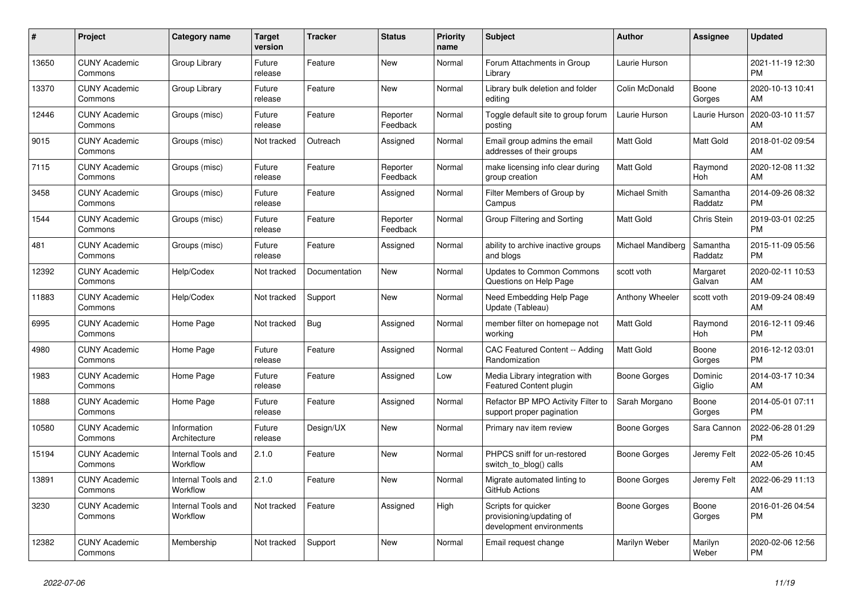| #     | Project                         | <b>Category name</b>           | <b>Target</b><br>version | <b>Tracker</b> | <b>Status</b>        | Priority<br>name | <b>Subject</b>                                                              | <b>Author</b>     | Assignee            | <b>Updated</b>                |
|-------|---------------------------------|--------------------------------|--------------------------|----------------|----------------------|------------------|-----------------------------------------------------------------------------|-------------------|---------------------|-------------------------------|
| 13650 | <b>CUNY Academic</b><br>Commons | Group Library                  | Future<br>release        | Feature        | New                  | Normal           | Forum Attachments in Group<br>Library                                       | Laurie Hurson     |                     | 2021-11-19 12:30<br><b>PM</b> |
| 13370 | <b>CUNY Academic</b><br>Commons | Group Library                  | Future<br>release        | Feature        | <b>New</b>           | Normal           | Library bulk deletion and folder<br>editing                                 | Colin McDonald    | Boone<br>Gorges     | 2020-10-13 10:41<br>AM        |
| 12446 | <b>CUNY Academic</b><br>Commons | Groups (misc)                  | Future<br>release        | Feature        | Reporter<br>Feedback | Normal           | Toggle default site to group forum<br>posting                               | Laurie Hurson     | Laurie Hurson       | 2020-03-10 11:57<br>AM        |
| 9015  | <b>CUNY Academic</b><br>Commons | Groups (misc)                  | Not tracked              | Outreach       | Assigned             | Normal           | Email group admins the email<br>addresses of their groups                   | Matt Gold         | Matt Gold           | 2018-01-02 09:54<br>AM        |
| 7115  | <b>CUNY Academic</b><br>Commons | Groups (misc)                  | Future<br>release        | Feature        | Reporter<br>Feedback | Normal           | make licensing info clear during<br>group creation                          | Matt Gold         | Raymond<br>Hoh      | 2020-12-08 11:32<br>AM        |
| 3458  | <b>CUNY Academic</b><br>Commons | Groups (misc)                  | Future<br>release        | Feature        | Assigned             | Normal           | Filter Members of Group by<br>Campus                                        | Michael Smith     | Samantha<br>Raddatz | 2014-09-26 08:32<br><b>PM</b> |
| 1544  | <b>CUNY Academic</b><br>Commons | Groups (misc)                  | Future<br>release        | Feature        | Reporter<br>Feedback | Normal           | Group Filtering and Sorting                                                 | <b>Matt Gold</b>  | Chris Stein         | 2019-03-01 02:25<br><b>PM</b> |
| 481   | <b>CUNY Academic</b><br>Commons | Groups (misc)                  | Future<br>release        | Feature        | Assigned             | Normal           | ability to archive inactive groups<br>and blogs                             | Michael Mandiberg | Samantha<br>Raddatz | 2015-11-09 05:56<br><b>PM</b> |
| 12392 | <b>CUNY Academic</b><br>Commons | Help/Codex                     | Not tracked              | Documentation  | New                  | Normal           | <b>Updates to Common Commons</b><br>Questions on Help Page                  | scott voth        | Margaret<br>Galvan  | 2020-02-11 10:53<br>AM        |
| 11883 | <b>CUNY Academic</b><br>Commons | Help/Codex                     | Not tracked              | Support        | New                  | Normal           | Need Embedding Help Page<br>Update (Tableau)                                | Anthony Wheeler   | scott voth          | 2019-09-24 08:49<br>AM        |
| 6995  | <b>CUNY Academic</b><br>Commons | Home Page                      | Not tracked              | Bug            | Assigned             | Normal           | member filter on homepage not<br>working                                    | Matt Gold         | Raymond<br>Hoh      | 2016-12-11 09:46<br><b>PM</b> |
| 4980  | <b>CUNY Academic</b><br>Commons | Home Page                      | Future<br>release        | Feature        | Assigned             | Normal           | <b>CAC Featured Content -- Adding</b><br>Randomization                      | <b>Matt Gold</b>  | Boone<br>Gorges     | 2016-12-12 03:01<br><b>PM</b> |
| 1983  | <b>CUNY Academic</b><br>Commons | Home Page                      | Future<br>release        | Feature        | Assigned             | Low              | Media Library integration with<br><b>Featured Content plugin</b>            | Boone Gorges      | Dominic<br>Giglio   | 2014-03-17 10:34<br>AM        |
| 1888  | <b>CUNY Academic</b><br>Commons | Home Page                      | Future<br>release        | Feature        | Assigned             | Normal           | Refactor BP MPO Activity Filter to<br>support proper pagination             | Sarah Morgano     | Boone<br>Gorges     | 2014-05-01 07:11<br><b>PM</b> |
| 10580 | <b>CUNY Academic</b><br>Commons | Information<br>Architecture    | Future<br>release        | Design/UX      | New                  | Normal           | Primary nav item review                                                     | Boone Gorges      | Sara Cannon         | 2022-06-28 01:29<br><b>PM</b> |
| 15194 | <b>CUNY Academic</b><br>Commons | Internal Tools and<br>Workflow | 2.1.0                    | Feature        | New                  | Normal           | PHPCS sniff for un-restored<br>switch_to_blog() calls                       | Boone Gorges      | Jeremy Felt         | 2022-05-26 10:45<br>AM        |
| 13891 | <b>CUNY Academic</b><br>Commons | Internal Tools and<br>Workflow | 2.1.0                    | Feature        | <b>New</b>           | Normal           | Migrate automated linting to<br>GitHub Actions                              | Boone Gorges      | Jeremy Felt         | 2022-06-29 11:13<br>AM        |
| 3230  | <b>CUNY Academic</b><br>Commons | Internal Tools and<br>Workflow | Not tracked              | Feature        | Assigned             | High             | Scripts for quicker<br>provisioning/updating of<br>development environments | Boone Gorges      | Boone<br>Gorges     | 2016-01-26 04:54<br><b>PM</b> |
| 12382 | <b>CUNY Academic</b><br>Commons | Membership                     | Not tracked              | Support        | <b>New</b>           | Normal           | Email request change                                                        | Marilyn Weber     | Marilyn<br>Weber    | 2020-02-06 12:56<br><b>PM</b> |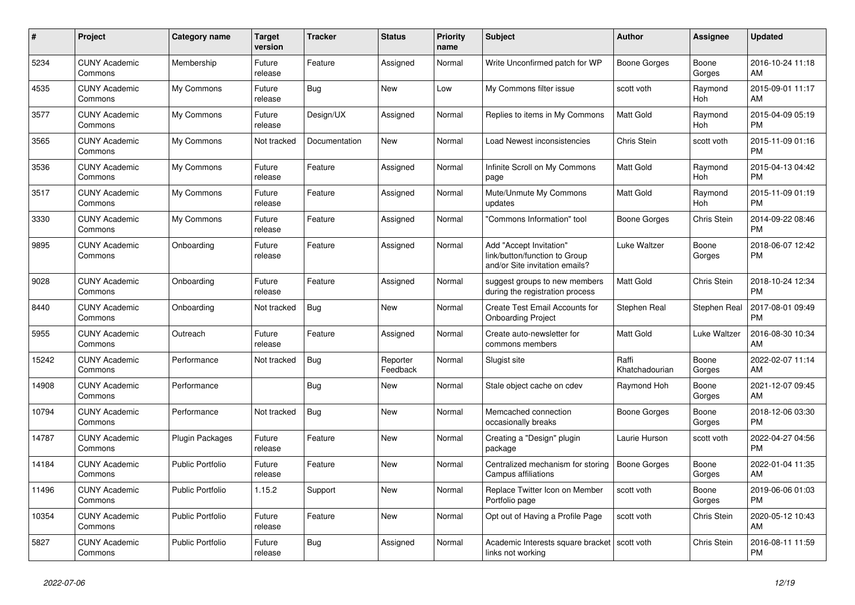| $\#$  | Project                         | <b>Category name</b>    | <b>Target</b><br>version | <b>Tracker</b> | <b>Status</b>        | <b>Priority</b><br>name | <b>Subject</b>                                                                             | <b>Author</b>           | <b>Assignee</b> | <b>Updated</b>                |
|-------|---------------------------------|-------------------------|--------------------------|----------------|----------------------|-------------------------|--------------------------------------------------------------------------------------------|-------------------------|-----------------|-------------------------------|
| 5234  | <b>CUNY Academic</b><br>Commons | Membership              | Future<br>release        | Feature        | Assigned             | Normal                  | Write Unconfirmed patch for WP                                                             | Boone Gorges            | Boone<br>Gorges | 2016-10-24 11:18<br>AM        |
| 4535  | <b>CUNY Academic</b><br>Commons | My Commons              | Future<br>release        | Bug            | New                  | Low                     | My Commons filter issue                                                                    | scott voth              | Raymond<br>Hoh  | 2015-09-01 11:17<br>AM        |
| 3577  | <b>CUNY Academic</b><br>Commons | My Commons              | Future<br>release        | Design/UX      | Assigned             | Normal                  | Replies to items in My Commons                                                             | <b>Matt Gold</b>        | Raymond<br>Hoh  | 2015-04-09 05:19<br><b>PM</b> |
| 3565  | <b>CUNY Academic</b><br>Commons | My Commons              | Not tracked              | Documentation  | <b>New</b>           | Normal                  | Load Newest inconsistencies                                                                | Chris Stein             | scott voth      | 2015-11-09 01:16<br><b>PM</b> |
| 3536  | <b>CUNY Academic</b><br>Commons | My Commons              | Future<br>release        | Feature        | Assigned             | Normal                  | Infinite Scroll on My Commons<br>page                                                      | Matt Gold               | Raymond<br>Hoh  | 2015-04-13 04:42<br><b>PM</b> |
| 3517  | <b>CUNY Academic</b><br>Commons | My Commons              | Future<br>release        | Feature        | Assigned             | Normal                  | Mute/Unmute My Commons<br>updates                                                          | <b>Matt Gold</b>        | Raymond<br>Hoh  | 2015-11-09 01:19<br><b>PM</b> |
| 3330  | <b>CUNY Academic</b><br>Commons | My Commons              | Future<br>release        | Feature        | Assigned             | Normal                  | "Commons Information" tool                                                                 | Boone Gorges            | Chris Stein     | 2014-09-22 08:46<br><b>PM</b> |
| 9895  | <b>CUNY Academic</b><br>Commons | Onboarding              | Future<br>release        | Feature        | Assigned             | Normal                  | Add "Accept Invitation"<br>link/button/function to Group<br>and/or Site invitation emails? | Luke Waltzer            | Boone<br>Gorges | 2018-06-07 12:42<br><b>PM</b> |
| 9028  | <b>CUNY Academic</b><br>Commons | Onboarding              | Future<br>release        | Feature        | Assigned             | Normal                  | suggest groups to new members<br>during the registration process                           | <b>Matt Gold</b>        | Chris Stein     | 2018-10-24 12:34<br><b>PM</b> |
| 8440  | <b>CUNY Academic</b><br>Commons | Onboarding              | Not tracked              | <b>Bug</b>     | <b>New</b>           | Normal                  | <b>Create Test Email Accounts for</b><br><b>Onboarding Project</b>                         | Stephen Real            | Stephen Real    | 2017-08-01 09:49<br><b>PM</b> |
| 5955  | <b>CUNY Academic</b><br>Commons | Outreach                | Future<br>release        | Feature        | Assigned             | Normal                  | Create auto-newsletter for<br>commons members                                              | Matt Gold               | Luke Waltzer    | 2016-08-30 10:34<br>AM        |
| 15242 | <b>CUNY Academic</b><br>Commons | Performance             | Not tracked              | <b>Bug</b>     | Reporter<br>Feedback | Normal                  | Slugist site                                                                               | Raffi<br>Khatchadourian | Boone<br>Gorges | 2022-02-07 11:14<br>AM        |
| 14908 | <b>CUNY Academic</b><br>Commons | Performance             |                          | <b>Bug</b>     | <b>New</b>           | Normal                  | Stale object cache on cdev                                                                 | Raymond Hoh             | Boone<br>Gorges | 2021-12-07 09:45<br>AM        |
| 10794 | <b>CUNY Academic</b><br>Commons | Performance             | Not tracked              | Bug            | New                  | Normal                  | Memcached connection<br>occasionally breaks                                                | Boone Gorges            | Boone<br>Gorges | 2018-12-06 03:30<br><b>PM</b> |
| 14787 | <b>CUNY Academic</b><br>Commons | <b>Plugin Packages</b>  | Future<br>release        | Feature        | New                  | Normal                  | Creating a "Design" plugin<br>package                                                      | Laurie Hurson           | scott voth      | 2022-04-27 04:56<br><b>PM</b> |
| 14184 | <b>CUNY Academic</b><br>Commons | Public Portfolio        | Future<br>release        | Feature        | New                  | Normal                  | Centralized mechanism for storing<br>Campus affiliations                                   | <b>Boone Gorges</b>     | Boone<br>Gorges | 2022-01-04 11:35<br>AM        |
| 11496 | <b>CUNY Academic</b><br>Commons | <b>Public Portfolio</b> | 1.15.2                   | Support        | <b>New</b>           | Normal                  | Replace Twitter Icon on Member<br>Portfolio page                                           | scott voth              | Boone<br>Gorges | 2019-06-06 01:03<br><b>PM</b> |
| 10354 | <b>CUNY Academic</b><br>Commons | <b>Public Portfolio</b> | Future<br>release        | Feature        | New                  | Normal                  | Opt out of Having a Profile Page                                                           | scott voth              | Chris Stein     | 2020-05-12 10:43<br>AM        |
| 5827  | <b>CUNY Academic</b><br>Commons | <b>Public Portfolio</b> | Future<br>release        | <b>Bug</b>     | Assigned             | Normal                  | Academic Interests square bracket<br>links not working                                     | scott voth              | Chris Stein     | 2016-08-11 11:59<br><b>PM</b> |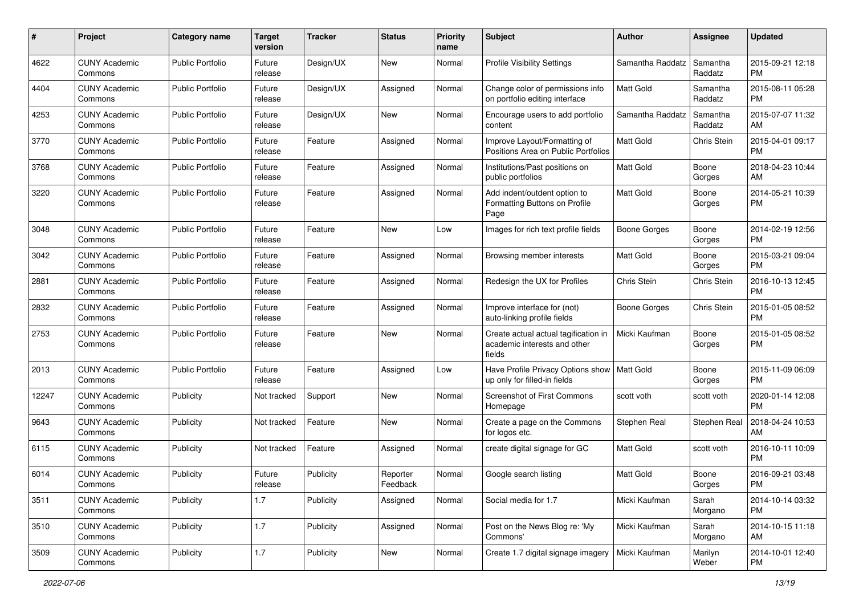| #     | Project                         | <b>Category name</b>    | <b>Target</b><br>version | <b>Tracker</b> | <b>Status</b>        | Priority<br>name | <b>Subject</b>                                                                 | Author              | <b>Assignee</b>     | <b>Updated</b>                |
|-------|---------------------------------|-------------------------|--------------------------|----------------|----------------------|------------------|--------------------------------------------------------------------------------|---------------------|---------------------|-------------------------------|
| 4622  | <b>CUNY Academic</b><br>Commons | <b>Public Portfolio</b> | Future<br>release        | Design/UX      | New                  | Normal           | <b>Profile Visibility Settings</b>                                             | Samantha Raddatz    | Samantha<br>Raddatz | 2015-09-21 12:18<br><b>PM</b> |
| 4404  | <b>CUNY Academic</b><br>Commons | <b>Public Portfolio</b> | Future<br>release        | Design/UX      | Assigned             | Normal           | Change color of permissions info<br>on portfolio editing interface             | <b>Matt Gold</b>    | Samantha<br>Raddatz | 2015-08-11 05:28<br><b>PM</b> |
| 4253  | CUNY Academic<br>Commons        | <b>Public Portfolio</b> | Future<br>release        | Design/UX      | New                  | Normal           | Encourage users to add portfolio<br>content                                    | Samantha Raddatz    | Samantha<br>Raddatz | 2015-07-07 11:32<br>AM        |
| 3770  | <b>CUNY Academic</b><br>Commons | <b>Public Portfolio</b> | Future<br>release        | Feature        | Assigned             | Normal           | Improve Layout/Formatting of<br>Positions Area on Public Portfolios            | <b>Matt Gold</b>    | Chris Stein         | 2015-04-01 09:17<br><b>PM</b> |
| 3768  | <b>CUNY Academic</b><br>Commons | <b>Public Portfolio</b> | Future<br>release        | Feature        | Assigned             | Normal           | Institutions/Past positions on<br>public portfolios                            | <b>Matt Gold</b>    | Boone<br>Gorges     | 2018-04-23 10:44<br>AM        |
| 3220  | <b>CUNY Academic</b><br>Commons | <b>Public Portfolio</b> | Future<br>release        | Feature        | Assigned             | Normal           | Add indent/outdent option to<br>Formatting Buttons on Profile<br>Page          | Matt Gold           | Boone<br>Gorges     | 2014-05-21 10:39<br><b>PM</b> |
| 3048  | <b>CUNY Academic</b><br>Commons | <b>Public Portfolio</b> | Future<br>release        | Feature        | New                  | Low              | Images for rich text profile fields                                            | <b>Boone Gorges</b> | Boone<br>Gorges     | 2014-02-19 12:56<br><b>PM</b> |
| 3042  | <b>CUNY Academic</b><br>Commons | <b>Public Portfolio</b> | Future<br>release        | Feature        | Assigned             | Normal           | Browsing member interests                                                      | Matt Gold           | Boone<br>Gorges     | 2015-03-21 09:04<br><b>PM</b> |
| 2881  | <b>CUNY Academic</b><br>Commons | <b>Public Portfolio</b> | Future<br>release        | Feature        | Assigned             | Normal           | Redesign the UX for Profiles                                                   | Chris Stein         | Chris Stein         | 2016-10-13 12:45<br><b>PM</b> |
| 2832  | <b>CUNY Academic</b><br>Commons | <b>Public Portfolio</b> | Future<br>release        | Feature        | Assigned             | Normal           | Improve interface for (not)<br>auto-linking profile fields                     | <b>Boone Gorges</b> | Chris Stein         | 2015-01-05 08:52<br><b>PM</b> |
| 2753  | <b>CUNY Academic</b><br>Commons | <b>Public Portfolio</b> | Future<br>release        | Feature        | New                  | Normal           | Create actual actual tagification in<br>academic interests and other<br>fields | Micki Kaufman       | Boone<br>Gorges     | 2015-01-05 08:52<br><b>PM</b> |
| 2013  | <b>CUNY Academic</b><br>Commons | <b>Public Portfolio</b> | Future<br>release        | Feature        | Assigned             | Low              | Have Profile Privacy Options show<br>up only for filled-in fields              | Matt Gold           | Boone<br>Gorges     | 2015-11-09 06:09<br><b>PM</b> |
| 12247 | <b>CUNY Academic</b><br>Commons | Publicity               | Not tracked              | Support        | New                  | Normal           | Screenshot of First Commons<br>Homepage                                        | scott voth          | scott voth          | 2020-01-14 12:08<br><b>PM</b> |
| 9643  | <b>CUNY Academic</b><br>Commons | Publicity               | Not tracked              | Feature        | New                  | Normal           | Create a page on the Commons<br>for logos etc.                                 | Stephen Real        | Stephen Real        | 2018-04-24 10:53<br>AM        |
| 6115  | <b>CUNY Academic</b><br>Commons | Publicity               | Not tracked              | Feature        | Assigned             | Normal           | create digital signage for GC                                                  | <b>Matt Gold</b>    | scott voth          | 2016-10-11 10:09<br><b>PM</b> |
| 6014  | <b>CUNY Academic</b><br>Commons | Publicity               | Future<br>reiease        | Publicity      | Reporter<br>Feedback | Normal           | Google search listing                                                          | Matt Gold           | Boone<br>Gorges     | 2016-09-21 03:48<br>PM        |
| 3511  | <b>CUNY Academic</b><br>Commons | Publicity               | 1.7                      | Publicity      | Assigned             | Normal           | Social media for 1.7                                                           | Micki Kaufman       | Sarah<br>Morgano    | 2014-10-14 03:32<br>PM        |
| 3510  | <b>CUNY Academic</b><br>Commons | Publicity               | 1.7                      | Publicity      | Assigned             | Normal           | Post on the News Blog re: 'My<br>Commons'                                      | Micki Kaufman       | Sarah<br>Morgano    | 2014-10-15 11:18<br>AM        |
| 3509  | <b>CUNY Academic</b><br>Commons | Publicity               | 1.7                      | Publicity      | New                  | Normal           | Create 1.7 digital signage imagery                                             | Micki Kaufman       | Marilyn<br>Weber    | 2014-10-01 12:40<br><b>PM</b> |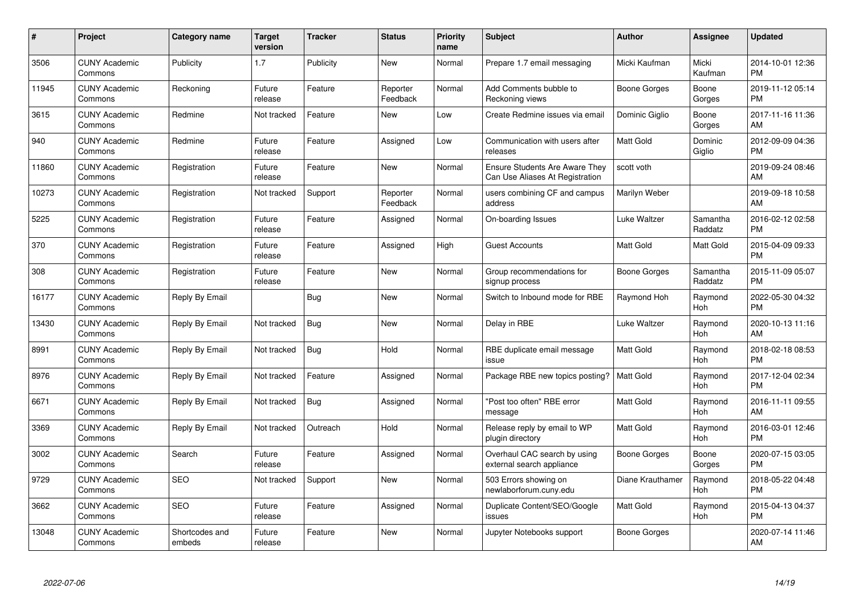| $\#$  | Project                         | <b>Category name</b>     | <b>Target</b><br>version | <b>Tracker</b> | <b>Status</b>        | <b>Priority</b><br>name | <b>Subject</b>                                                           | <b>Author</b>    | Assignee            | <b>Updated</b>                |
|-------|---------------------------------|--------------------------|--------------------------|----------------|----------------------|-------------------------|--------------------------------------------------------------------------|------------------|---------------------|-------------------------------|
| 3506  | <b>CUNY Academic</b><br>Commons | Publicity                | 1.7                      | Publicity      | <b>New</b>           | Normal                  | Prepare 1.7 email messaging                                              | Micki Kaufman    | Micki<br>Kaufman    | 2014-10-01 12:36<br><b>PM</b> |
| 11945 | <b>CUNY Academic</b><br>Commons | Reckoning                | Future<br>release        | Feature        | Reporter<br>Feedback | Normal                  | Add Comments bubble to<br>Reckoning views                                | Boone Gorges     | Boone<br>Gorges     | 2019-11-12 05:14<br><b>PM</b> |
| 3615  | <b>CUNY Academic</b><br>Commons | Redmine                  | Not tracked              | Feature        | New                  | Low                     | Create Redmine issues via email                                          | Dominic Giglio   | Boone<br>Gorges     | 2017-11-16 11:36<br>AM        |
| 940   | <b>CUNY Academic</b><br>Commons | Redmine                  | Future<br>release        | Feature        | Assigned             | Low                     | Communication with users after<br>releases                               | Matt Gold        | Dominic<br>Giglio   | 2012-09-09 04:36<br><b>PM</b> |
| 11860 | <b>CUNY Academic</b><br>Commons | Registration             | Future<br>release        | Feature        | <b>New</b>           | Normal                  | <b>Ensure Students Are Aware They</b><br>Can Use Aliases At Registration | scott voth       |                     | 2019-09-24 08:46<br>AM        |
| 10273 | <b>CUNY Academic</b><br>Commons | Registration             | Not tracked              | Support        | Reporter<br>Feedback | Normal                  | users combining CF and campus<br>address                                 | Marilyn Weber    |                     | 2019-09-18 10:58<br>AM        |
| 5225  | <b>CUNY Academic</b><br>Commons | Registration             | Future<br>release        | Feature        | Assigned             | Normal                  | On-boarding Issues                                                       | Luke Waltzer     | Samantha<br>Raddatz | 2016-02-12 02:58<br><b>PM</b> |
| 370   | <b>CUNY Academic</b><br>Commons | Registration             | Future<br>release        | Feature        | Assigned             | High                    | <b>Guest Accounts</b>                                                    | <b>Matt Gold</b> | Matt Gold           | 2015-04-09 09:33<br><b>PM</b> |
| 308   | <b>CUNY Academic</b><br>Commons | Registration             | Future<br>release        | Feature        | New                  | Normal                  | Group recommendations for<br>signup process                              | Boone Gorges     | Samantha<br>Raddatz | 2015-11-09 05:07<br><b>PM</b> |
| 16177 | <b>CUNY Academic</b><br>Commons | Reply By Email           |                          | Bug            | <b>New</b>           | Normal                  | Switch to Inbound mode for RBE                                           | Raymond Hoh      | Raymond<br>Hoh      | 2022-05-30 04:32<br><b>PM</b> |
| 13430 | <b>CUNY Academic</b><br>Commons | Reply By Email           | Not tracked              | Bug            | <b>New</b>           | Normal                  | Delay in RBE                                                             | Luke Waltzer     | Raymond<br>Hoh      | 2020-10-13 11:16<br>AM        |
| 8991  | <b>CUNY Academic</b><br>Commons | Reply By Email           | Not tracked              | <b>Bug</b>     | Hold                 | Normal                  | RBE duplicate email message<br>issue                                     | Matt Gold        | Raymond<br>Hoh      | 2018-02-18 08:53<br><b>PM</b> |
| 8976  | <b>CUNY Academic</b><br>Commons | Reply By Email           | Not tracked              | Feature        | Assigned             | Normal                  | Package RBE new topics posting?                                          | <b>Matt Gold</b> | Raymond<br>Hoh      | 2017-12-04 02:34<br><b>PM</b> |
| 6671  | <b>CUNY Academic</b><br>Commons | Reply By Email           | Not tracked              | Bug            | Assigned             | Normal                  | "Post too often" RBE error<br>message                                    | Matt Gold        | Raymond<br>Hoh      | 2016-11-11 09:55<br>AM        |
| 3369  | <b>CUNY Academic</b><br>Commons | Reply By Email           | Not tracked              | Outreach       | Hold                 | Normal                  | Release reply by email to WP<br>plugin directory                         | Matt Gold        | Raymond<br>Hoh      | 2016-03-01 12:46<br><b>PM</b> |
| 3002  | <b>CUNY Academic</b><br>Commons | Search                   | Future<br>release        | Feature        | Assigned             | Normal                  | Overhaul CAC search by using<br>external search appliance                | Boone Gorges     | Boone<br>Gorges     | 2020-07-15 03:05<br><b>PM</b> |
| 9729  | <b>CUNY Academic</b><br>Commons | <b>SEO</b>               | Not tracked              | Support        | New                  | Normal                  | 503 Errors showing on<br>newlaborforum.cuny.edu                          | Diane Krauthamer | Raymond<br>Hoh      | 2018-05-22 04:48<br><b>PM</b> |
| 3662  | <b>CUNY Academic</b><br>Commons | SEO                      | Future<br>release        | Feature        | Assigned             | Normal                  | Duplicate Content/SEO/Google<br>issues                                   | Matt Gold        | Raymond<br>Hoh      | 2015-04-13 04:37<br><b>PM</b> |
| 13048 | <b>CUNY Academic</b><br>Commons | Shortcodes and<br>embeds | Future<br>release        | Feature        | <b>New</b>           | Normal                  | Jupyter Notebooks support                                                | Boone Gorges     |                     | 2020-07-14 11:46<br>AM        |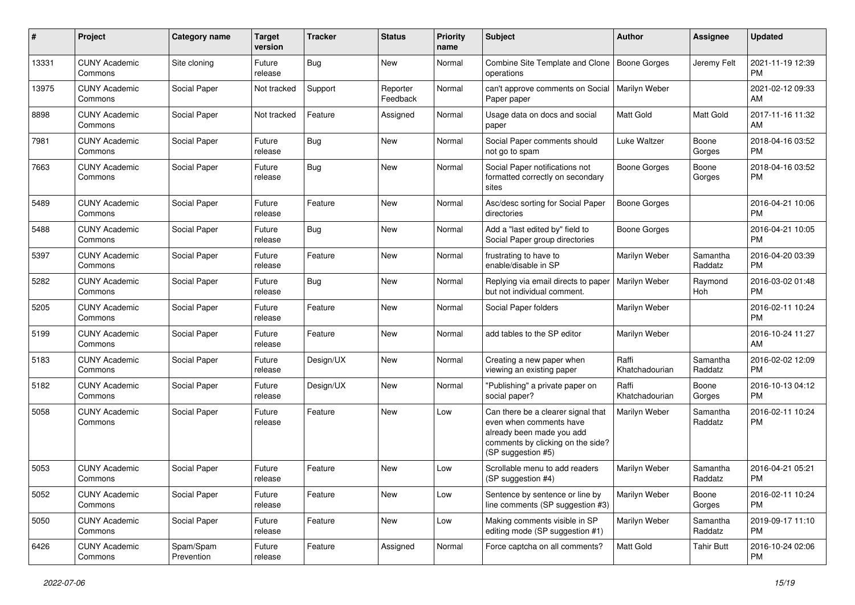| #     | Project                         | <b>Category name</b>    | <b>Target</b><br>version | <b>Tracker</b> | <b>Status</b>        | Priority<br>name | Subject                                                                                                                                               | Author                  | <b>Assignee</b>     | <b>Updated</b>                |
|-------|---------------------------------|-------------------------|--------------------------|----------------|----------------------|------------------|-------------------------------------------------------------------------------------------------------------------------------------------------------|-------------------------|---------------------|-------------------------------|
| 13331 | <b>CUNY Academic</b><br>Commons | Site cloning            | Future<br>release        | Bug            | New                  | Normal           | Combine Site Template and Clone<br>operations                                                                                                         | Boone Gorges            | Jeremy Felt         | 2021-11-19 12:39<br>PM.       |
| 13975 | <b>CUNY Academic</b><br>Commons | Social Paper            | Not tracked              | Support        | Reporter<br>Feedback | Normal           | can't approve comments on Social<br>Paper paper                                                                                                       | Marilyn Weber           |                     | 2021-02-12 09:33<br>AM.       |
| 8898  | <b>CUNY Academic</b><br>Commons | Social Paper            | Not tracked              | Feature        | Assigned             | Normal           | Usage data on docs and social<br>paper                                                                                                                | Matt Gold               | Matt Gold           | 2017-11-16 11:32<br>AM        |
| 7981  | <b>CUNY Academic</b><br>Commons | Social Paper            | Future<br>release        | Bug            | New                  | Normal           | Social Paper comments should<br>not go to spam                                                                                                        | Luke Waltzer            | Boone<br>Gorges     | 2018-04-16 03:52<br>PM.       |
| 7663  | <b>CUNY Academic</b><br>Commons | Social Paper            | Future<br>release        | Bug            | New                  | Normal           | Social Paper notifications not<br>formatted correctly on secondary<br>sites                                                                           | Boone Gorges            | Boone<br>Gorges     | 2018-04-16 03:52<br><b>PM</b> |
| 5489  | <b>CUNY Academic</b><br>Commons | Social Paper            | Future<br>release        | Feature        | New                  | Normal           | Asc/desc sorting for Social Paper<br>directories                                                                                                      | Boone Gorges            |                     | 2016-04-21 10:06<br><b>PM</b> |
| 5488  | <b>CUNY Academic</b><br>Commons | Social Paper            | Future<br>release        | Bug            | New                  | Normal           | Add a "last edited by" field to<br>Social Paper group directories                                                                                     | Boone Gorges            |                     | 2016-04-21 10:05<br><b>PM</b> |
| 5397  | <b>CUNY Academic</b><br>Commons | Social Paper            | Future<br>release        | Feature        | New                  | Normal           | frustrating to have to<br>enable/disable in SP                                                                                                        | Marilyn Weber           | Samantha<br>Raddatz | 2016-04-20 03:39<br><b>PM</b> |
| 5282  | <b>CUNY Academic</b><br>Commons | Social Paper            | Future<br>release        | <b>Bug</b>     | New                  | Normal           | Replying via email directs to paper<br>but not individual comment.                                                                                    | Marilyn Weber           | Raymond<br>Hoh      | 2016-03-02 01:48<br>PM.       |
| 5205  | <b>CUNY Academic</b><br>Commons | Social Paper            | Future<br>release        | Feature        | New                  | Normal           | Social Paper folders                                                                                                                                  | Marilyn Weber           |                     | 2016-02-11 10:24<br><b>PM</b> |
| 5199  | <b>CUNY Academic</b><br>Commons | Social Paper            | Future<br>release        | Feature        | New                  | Normal           | add tables to the SP editor                                                                                                                           | Marilyn Weber           |                     | 2016-10-24 11:27<br>AM        |
| 5183  | <b>CUNY Academic</b><br>Commons | Social Paper            | Future<br>release        | Design/UX      | New                  | Normal           | Creating a new paper when<br>viewing an existing paper                                                                                                | Raffi<br>Khatchadourian | Samantha<br>Raddatz | 2016-02-02 12:09<br><b>PM</b> |
| 5182  | <b>CUNY Academic</b><br>Commons | Social Paper            | Future<br>release        | Design/UX      | New                  | Normal           | "Publishing" a private paper on<br>social paper?                                                                                                      | Raffi<br>Khatchadourian | Boone<br>Gorges     | 2016-10-13 04:12<br><b>PM</b> |
| 5058  | <b>CUNY Academic</b><br>Commons | Social Paper            | Future<br>release        | Feature        | New                  | Low              | Can there be a clearer signal that<br>even when comments have<br>already been made you add<br>comments by clicking on the side?<br>(SP suggestion #5) | Marilyn Weber           | Samantha<br>Raddatz | 2016-02-11 10:24<br><b>PM</b> |
| 5053  | <b>CUNY Academic</b><br>Commons | Social Paper            | Future<br>release        | Feature        | New                  | Low              | Scrollable menu to add readers<br>(SP suggestion #4)                                                                                                  | Marilyn Weber           | Samantha<br>Raddatz | 2016-04-21 05:21<br><b>PM</b> |
| 5052  | <b>CUNY Academic</b><br>Commons | Social Paper            | Future<br>release        | Feature        | New                  | Low              | Sentence by sentence or line by<br>line comments (SP suggestion #3)                                                                                   | Marilyn Weber           | Boone<br>Gorges     | 2016-02-11 10:24<br>PM.       |
| 5050  | <b>CUNY Academic</b><br>Commons | Social Paper            | Future<br>release        | Feature        | New                  | Low              | Making comments visible in SP<br>editing mode (SP suggestion #1)                                                                                      | Marilyn Weber           | Samantha<br>Raddatz | 2019-09-17 11:10<br><b>PM</b> |
| 6426  | <b>CUNY Academic</b><br>Commons | Spam/Spam<br>Prevention | Future<br>release        | Feature        | Assigned             | Normal           | Force captcha on all comments?                                                                                                                        | Matt Gold               | <b>Tahir Butt</b>   | 2016-10-24 02:06<br><b>PM</b> |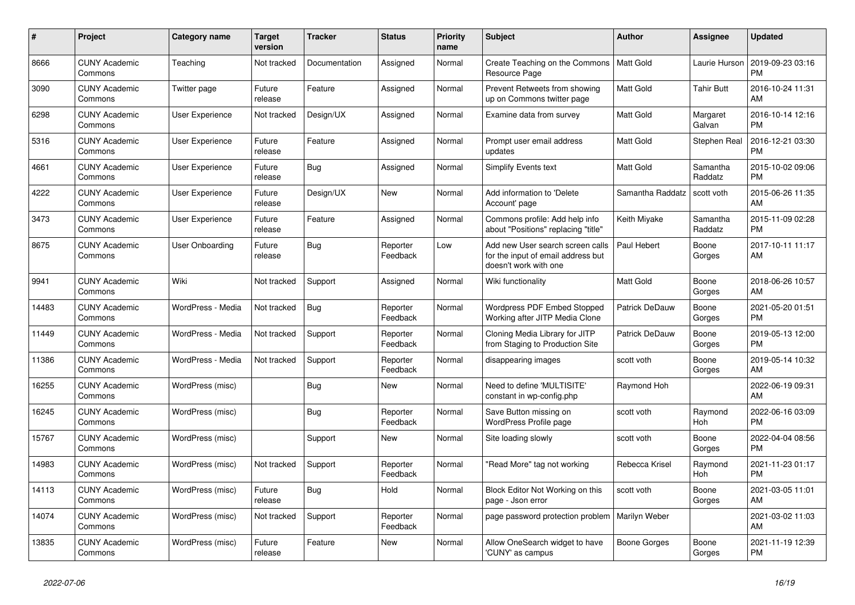| $\#$  | Project                         | <b>Category name</b>   | <b>Target</b><br>version | <b>Tracker</b> | <b>Status</b>        | <b>Priority</b><br>name | <b>Subject</b>                                                                                  | <b>Author</b>       | <b>Assignee</b>     | <b>Updated</b>                |
|-------|---------------------------------|------------------------|--------------------------|----------------|----------------------|-------------------------|-------------------------------------------------------------------------------------------------|---------------------|---------------------|-------------------------------|
| 8666  | <b>CUNY Academic</b><br>Commons | Teaching               | Not tracked              | Documentation  | Assigned             | Normal                  | Create Teaching on the Commons<br>Resource Page                                                 | Matt Gold           | Laurie Hurson       | 2019-09-23 03:16<br><b>PM</b> |
| 3090  | <b>CUNY Academic</b><br>Commons | Twitter page           | Future<br>release        | Feature        | Assigned             | Normal                  | Prevent Retweets from showing<br>up on Commons twitter page                                     | <b>Matt Gold</b>    | <b>Tahir Butt</b>   | 2016-10-24 11:31<br>AM        |
| 6298  | <b>CUNY Academic</b><br>Commons | User Experience        | Not tracked              | Design/UX      | Assigned             | Normal                  | Examine data from survey                                                                        | <b>Matt Gold</b>    | Margaret<br>Galvan  | 2016-10-14 12:16<br><b>PM</b> |
| 5316  | <b>CUNY Academic</b><br>Commons | <b>User Experience</b> | Future<br>release        | Feature        | Assigned             | Normal                  | Prompt user email address<br>updates                                                            | <b>Matt Gold</b>    | <b>Stephen Real</b> | 2016-12-21 03:30<br><b>PM</b> |
| 4661  | <b>CUNY Academic</b><br>Commons | <b>User Experience</b> | Future<br>release        | Bug            | Assigned             | Normal                  | <b>Simplify Events text</b>                                                                     | <b>Matt Gold</b>    | Samantha<br>Raddatz | 2015-10-02 09:06<br><b>PM</b> |
| 4222  | <b>CUNY Academic</b><br>Commons | User Experience        | Future<br>release        | Design/UX      | New                  | Normal                  | Add information to 'Delete<br>Account' page                                                     | Samantha Raddatz    | scott voth          | 2015-06-26 11:35<br>AM        |
| 3473  | <b>CUNY Academic</b><br>Commons | <b>User Experience</b> | Future<br>release        | Feature        | Assigned             | Normal                  | Commons profile: Add help info<br>about "Positions" replacing "title"                           | Keith Miyake        | Samantha<br>Raddatz | 2015-11-09 02:28<br><b>PM</b> |
| 8675  | <b>CUNY Academic</b><br>Commons | <b>User Onboarding</b> | Future<br>release        | <b>Bug</b>     | Reporter<br>Feedback | Low                     | Add new User search screen calls<br>for the input of email address but<br>doesn't work with one | Paul Hebert         | Boone<br>Gorges     | 2017-10-11 11:17<br>AM        |
| 9941  | <b>CUNY Academic</b><br>Commons | Wiki                   | Not tracked              | Support        | Assigned             | Normal                  | Wiki functionality                                                                              | <b>Matt Gold</b>    | Boone<br>Gorges     | 2018-06-26 10:57<br>AM        |
| 14483 | <b>CUNY Academic</b><br>Commons | WordPress - Media      | Not tracked              | <b>Bug</b>     | Reporter<br>Feedback | Normal                  | <b>Wordpress PDF Embed Stopped</b><br>Working after JITP Media Clone                            | Patrick DeDauw      | Boone<br>Gorges     | 2021-05-20 01:51<br><b>PM</b> |
| 11449 | <b>CUNY Academic</b><br>Commons | WordPress - Media      | Not tracked              | Support        | Reporter<br>Feedback | Normal                  | Cloning Media Library for JITP<br>from Staging to Production Site                               | Patrick DeDauw      | Boone<br>Gorges     | 2019-05-13 12:00<br><b>PM</b> |
| 11386 | <b>CUNY Academic</b><br>Commons | WordPress - Media      | Not tracked              | Support        | Reporter<br>Feedback | Normal                  | disappearing images                                                                             | scott voth          | Boone<br>Gorges     | 2019-05-14 10:32<br>AM        |
| 16255 | <b>CUNY Academic</b><br>Commons | WordPress (misc)       |                          | <b>Bug</b>     | <b>New</b>           | Normal                  | Need to define 'MULTISITE'<br>constant in wp-config.php                                         | Raymond Hoh         |                     | 2022-06-19 09:31<br>AM        |
| 16245 | <b>CUNY Academic</b><br>Commons | WordPress (misc)       |                          | <b>Bug</b>     | Reporter<br>Feedback | Normal                  | Save Button missing on<br>WordPress Profile page                                                | scott voth          | Raymond<br>Hoh      | 2022-06-16 03:09<br><b>PM</b> |
| 15767 | <b>CUNY Academic</b><br>Commons | WordPress (misc)       |                          | Support        | <b>New</b>           | Normal                  | Site loading slowly                                                                             | scott voth          | Boone<br>Gorges     | 2022-04-04 08:56<br><b>PM</b> |
| 14983 | <b>CUNY Academic</b><br>Commons | WordPress (misc)       | Not tracked              | Support        | Reporter<br>Feedback | Normal                  | 'Read More" tag not working                                                                     | Rebecca Krisel      | Raymond<br>Hoh      | 2021-11-23 01:17<br><b>PM</b> |
| 14113 | <b>CUNY Academic</b><br>Commons | WordPress (misc)       | Future<br>release        | <b>Bug</b>     | Hold                 | Normal                  | Block Editor Not Working on this<br>page - Json error                                           | scott voth          | Boone<br>Gorges     | 2021-03-05 11:01<br>AM        |
| 14074 | <b>CUNY Academic</b><br>Commons | WordPress (misc)       | Not tracked              | Support        | Reporter<br>Feedback | Normal                  | page password protection problem                                                                | Marilyn Weber       |                     | 2021-03-02 11:03<br>AM        |
| 13835 | <b>CUNY Academic</b><br>Commons | WordPress (misc)       | Future<br>release        | Feature        | <b>New</b>           | Normal                  | Allow OneSearch widget to have<br>'CUNY' as campus                                              | <b>Boone Gorges</b> | Boone<br>Gorges     | 2021-11-19 12:39<br><b>PM</b> |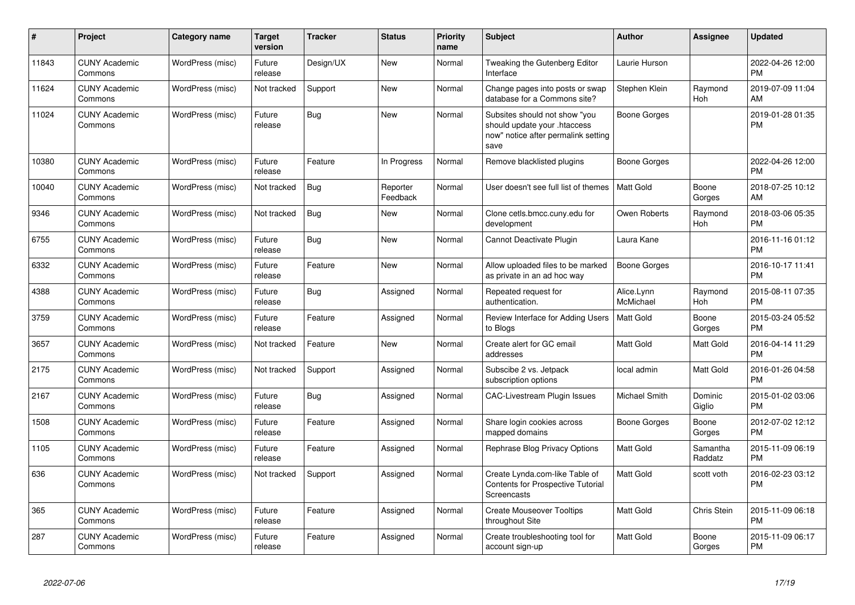| #     | Project                         | <b>Category name</b> | <b>Target</b><br>version | <b>Tracker</b> | <b>Status</b>        | <b>Priority</b><br>name | <b>Subject</b>                                                                                               | <b>Author</b>           | Assignee            | <b>Updated</b>                |
|-------|---------------------------------|----------------------|--------------------------|----------------|----------------------|-------------------------|--------------------------------------------------------------------------------------------------------------|-------------------------|---------------------|-------------------------------|
| 11843 | <b>CUNY Academic</b><br>Commons | WordPress (misc)     | Future<br>release        | Design/UX      | New                  | Normal                  | Tweaking the Gutenberg Editor<br>Interface                                                                   | Laurie Hurson           |                     | 2022-04-26 12:00<br><b>PM</b> |
| 11624 | <b>CUNY Academic</b><br>Commons | WordPress (misc)     | Not tracked              | Support        | <b>New</b>           | Normal                  | Change pages into posts or swap<br>database for a Commons site?                                              | Stephen Klein           | Raymond<br>Hoh      | 2019-07-09 11:04<br>AM        |
| 11024 | <b>CUNY Academic</b><br>Commons | WordPress (misc)     | Future<br>release        | Bug            | New                  | Normal                  | Subsites should not show "you<br>should update your .htaccess<br>now" notice after permalink setting<br>save | Boone Gorges            |                     | 2019-01-28 01:35<br><b>PM</b> |
| 10380 | <b>CUNY Academic</b><br>Commons | WordPress (misc)     | Future<br>release        | Feature        | In Progress          | Normal                  | Remove blacklisted plugins                                                                                   | Boone Gorges            |                     | 2022-04-26 12:00<br><b>PM</b> |
| 10040 | <b>CUNY Academic</b><br>Commons | WordPress (misc)     | Not tracked              | Bug            | Reporter<br>Feedback | Normal                  | User doesn't see full list of themes                                                                         | <b>Matt Gold</b>        | Boone<br>Gorges     | 2018-07-25 10:12<br>AM        |
| 9346  | <b>CUNY Academic</b><br>Commons | WordPress (misc)     | Not tracked              | Bug            | New                  | Normal                  | Clone cetls.bmcc.cuny.edu for<br>development                                                                 | Owen Roberts            | Raymond<br>Hoh      | 2018-03-06 05:35<br><b>PM</b> |
| 6755  | <b>CUNY Academic</b><br>Commons | WordPress (misc)     | Future<br>release        | Bug            | New                  | Normal                  | Cannot Deactivate Plugin                                                                                     | Laura Kane              |                     | 2016-11-16 01:12<br><b>PM</b> |
| 6332  | <b>CUNY Academic</b><br>Commons | WordPress (misc)     | Future<br>release        | Feature        | New                  | Normal                  | Allow uploaded files to be marked<br>as private in an ad hoc way                                             | <b>Boone Gorges</b>     |                     | 2016-10-17 11:41<br><b>PM</b> |
| 4388  | <b>CUNY Academic</b><br>Commons | WordPress (misc)     | Future<br>release        | Bug            | Assigned             | Normal                  | Repeated request for<br>authentication.                                                                      | Alice.Lynn<br>McMichael | Raymond<br>Hoh      | 2015-08-11 07:35<br><b>PM</b> |
| 3759  | <b>CUNY Academic</b><br>Commons | WordPress (misc)     | Future<br>release        | Feature        | Assigned             | Normal                  | Review Interface for Adding Users<br>to Blogs                                                                | Matt Gold               | Boone<br>Gorges     | 2015-03-24 05:52<br><b>PM</b> |
| 3657  | <b>CUNY Academic</b><br>Commons | WordPress (misc)     | Not tracked              | Feature        | <b>New</b>           | Normal                  | Create alert for GC email<br>addresses                                                                       | <b>Matt Gold</b>        | Matt Gold           | 2016-04-14 11:29<br><b>PM</b> |
| 2175  | <b>CUNY Academic</b><br>Commons | WordPress (misc)     | Not tracked              | Support        | Assigned             | Normal                  | Subscibe 2 vs. Jetpack<br>subscription options                                                               | local admin             | Matt Gold           | 2016-01-26 04:58<br><b>PM</b> |
| 2167  | <b>CUNY Academic</b><br>Commons | WordPress (misc)     | Future<br>release        | <b>Bug</b>     | Assigned             | Normal                  | <b>CAC-Livestream Plugin Issues</b>                                                                          | <b>Michael Smith</b>    | Dominic<br>Giglio   | 2015-01-02 03:06<br><b>PM</b> |
| 1508  | <b>CUNY Academic</b><br>Commons | WordPress (misc)     | Future<br>release        | Feature        | Assigned             | Normal                  | Share login cookies across<br>mapped domains                                                                 | Boone Gorges            | Boone<br>Gorges     | 2012-07-02 12:12<br><b>PM</b> |
| 1105  | <b>CUNY Academic</b><br>Commons | WordPress (misc)     | Future<br>release        | Feature        | Assigned             | Normal                  | Rephrase Blog Privacy Options                                                                                | <b>Matt Gold</b>        | Samantha<br>Raddatz | 2015-11-09 06:19<br><b>PM</b> |
| 636   | <b>CUNY Academic</b><br>Commons | WordPress (misc)     | Not tracked              | Support        | Assigned             | Normal                  | Create Lynda.com-like Table of<br>Contents for Prospective Tutorial<br>Screencasts                           | <b>Matt Gold</b>        | scott voth          | 2016-02-23 03:12<br><b>PM</b> |
| 365   | <b>CUNY Academic</b><br>Commons | WordPress (misc)     | Future<br>release        | Feature        | Assigned             | Normal                  | <b>Create Mouseover Tooltips</b><br>throughout Site                                                          | <b>Matt Gold</b>        | Chris Stein         | 2015-11-09 06:18<br><b>PM</b> |
| 287   | <b>CUNY Academic</b><br>Commons | WordPress (misc)     | Future<br>release        | Feature        | Assigned             | Normal                  | Create troubleshooting tool for<br>account sign-up                                                           | <b>Matt Gold</b>        | Boone<br>Gorges     | 2015-11-09 06:17<br><b>PM</b> |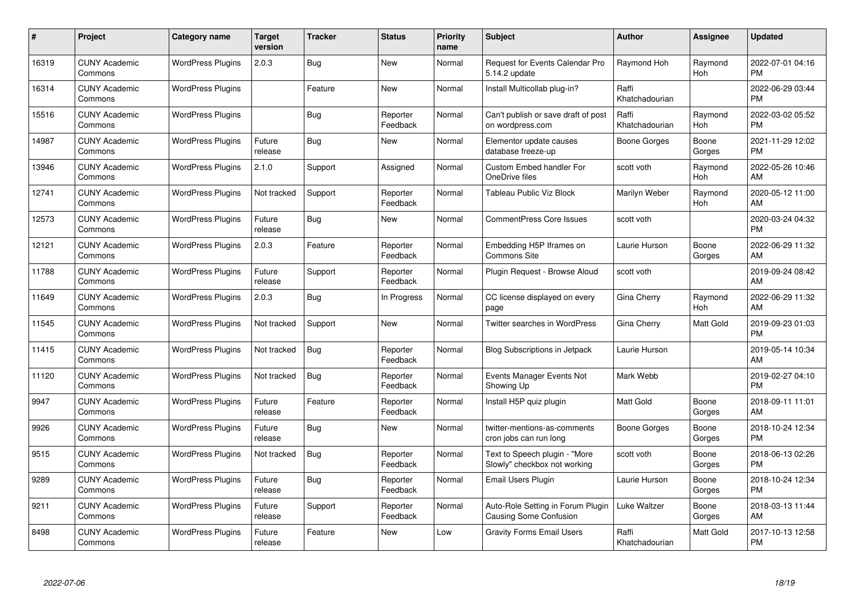| #     | Project                         | <b>Category name</b>     | <b>Target</b><br>version | <b>Tracker</b> | <b>Status</b>        | <b>Priority</b><br>name | <b>Subject</b>                                                     | <b>Author</b>           | <b>Assignee</b>  | <b>Updated</b>                |
|-------|---------------------------------|--------------------------|--------------------------|----------------|----------------------|-------------------------|--------------------------------------------------------------------|-------------------------|------------------|-------------------------------|
| 16319 | <b>CUNY Academic</b><br>Commons | <b>WordPress Plugins</b> | 2.0.3                    | Bug            | <b>New</b>           | Normal                  | <b>Request for Events Calendar Pro</b><br>5.14.2 update            | Raymond Hoh             | Raymond<br>Hoh   | 2022-07-01 04:16<br><b>PM</b> |
| 16314 | <b>CUNY Academic</b><br>Commons | <b>WordPress Plugins</b> |                          | Feature        | <b>New</b>           | Normal                  | Install Multicollab plug-in?                                       | Raffi<br>Khatchadourian |                  | 2022-06-29 03:44<br><b>PM</b> |
| 15516 | <b>CUNY Academic</b><br>Commons | <b>WordPress Plugins</b> |                          | <b>Bug</b>     | Reporter<br>Feedback | Normal                  | Can't publish or save draft of post<br>on wordpress.com            | Raffi<br>Khatchadourian | Raymond<br>Hoh   | 2022-03-02 05:52<br><b>PM</b> |
| 14987 | <b>CUNY Academic</b><br>Commons | <b>WordPress Plugins</b> | Future<br>release        | Bug            | New                  | Normal                  | Elementor update causes<br>database freeze-up                      | Boone Gorges            | Boone<br>Gorges  | 2021-11-29 12:02<br><b>PM</b> |
| 13946 | <b>CUNY Academic</b><br>Commons | <b>WordPress Plugins</b> | 2.1.0                    | Support        | Assigned             | Normal                  | Custom Embed handler For<br>OneDrive files                         | scott voth              | Raymond<br>Hoh   | 2022-05-26 10:46<br>AM        |
| 12741 | <b>CUNY Academic</b><br>Commons | <b>WordPress Plugins</b> | Not tracked              | Support        | Reporter<br>Feedback | Normal                  | Tableau Public Viz Block                                           | Marilyn Weber           | Raymond<br>Hoh   | 2020-05-12 11:00<br>AM        |
| 12573 | <b>CUNY Academic</b><br>Commons | <b>WordPress Plugins</b> | Future<br>release        | Bug            | New                  | Normal                  | <b>CommentPress Core Issues</b>                                    | scott voth              |                  | 2020-03-24 04:32<br><b>PM</b> |
| 12121 | <b>CUNY Academic</b><br>Commons | <b>WordPress Plugins</b> | 2.0.3                    | Feature        | Reporter<br>Feedback | Normal                  | Embedding H5P Iframes on<br><b>Commons Site</b>                    | Laurie Hurson           | Boone<br>Gorges  | 2022-06-29 11:32<br>AM        |
| 11788 | <b>CUNY Academic</b><br>Commons | <b>WordPress Plugins</b> | Future<br>release        | Support        | Reporter<br>Feedback | Normal                  | Plugin Request - Browse Aloud                                      | scott voth              |                  | 2019-09-24 08:42<br>AM        |
| 11649 | <b>CUNY Academic</b><br>Commons | <b>WordPress Plugins</b> | 2.0.3                    | Bug            | In Progress          | Normal                  | CC license displayed on every<br>page                              | Gina Cherry             | Raymond<br>Hoh   | 2022-06-29 11:32<br>AM        |
| 11545 | <b>CUNY Academic</b><br>Commons | <b>WordPress Plugins</b> | Not tracked              | Support        | New                  | Normal                  | Twitter searches in WordPress                                      | Gina Cherry             | Matt Gold        | 2019-09-23 01:03<br><b>PM</b> |
| 11415 | <b>CUNY Academic</b><br>Commons | <b>WordPress Plugins</b> | Not tracked              | <b>Bug</b>     | Reporter<br>Feedback | Normal                  | Blog Subscriptions in Jetpack                                      | Laurie Hurson           |                  | 2019-05-14 10:34<br>AM        |
| 11120 | <b>CUNY Academic</b><br>Commons | <b>WordPress Plugins</b> | Not tracked              | Bug            | Reporter<br>Feedback | Normal                  | Events Manager Events Not<br>Showing Up                            | Mark Webb               |                  | 2019-02-27 04:10<br><b>PM</b> |
| 9947  | <b>CUNY Academic</b><br>Commons | <b>WordPress Plugins</b> | Future<br>release        | Feature        | Reporter<br>Feedback | Normal                  | Install H5P quiz plugin                                            | <b>Matt Gold</b>        | Boone<br>Gorges  | 2018-09-11 11:01<br>AM        |
| 9926  | <b>CUNY Academic</b><br>Commons | <b>WordPress Plugins</b> | Future<br>release        | <b>Bug</b>     | <b>New</b>           | Normal                  | twitter-mentions-as-comments<br>cron jobs can run long             | Boone Gorges            | Boone<br>Gorges  | 2018-10-24 12:34<br><b>PM</b> |
| 9515  | <b>CUNY Academic</b><br>Commons | <b>WordPress Plugins</b> | Not tracked              | <b>Bug</b>     | Reporter<br>Feedback | Normal                  | Text to Speech plugin - "More<br>Slowly" checkbox not working      | scott voth              | Boone<br>Gorges  | 2018-06-13 02:26<br><b>PM</b> |
| 9289  | <b>CUNY Academic</b><br>Commons | <b>WordPress Plugins</b> | Future<br>release        | Bug            | Reporter<br>Feedback | Normal                  | <b>Email Users Plugin</b>                                          | Laurie Hurson           | Boone<br>Gorges  | 2018-10-24 12:34<br><b>PM</b> |
| 9211  | <b>CUNY Academic</b><br>Commons | <b>WordPress Plugins</b> | Future<br>release        | Support        | Reporter<br>Feedback | Normal                  | Auto-Role Setting in Forum Plugin<br><b>Causing Some Confusion</b> | Luke Waltzer            | Boone<br>Gorges  | 2018-03-13 11:44<br>AM        |
| 8498  | CUNY Academic<br>Commons        | <b>WordPress Plugins</b> | Future<br>release        | Feature        | <b>New</b>           | Low                     | <b>Gravity Forms Email Users</b>                                   | Raffi<br>Khatchadourian | <b>Matt Gold</b> | 2017-10-13 12:58<br><b>PM</b> |